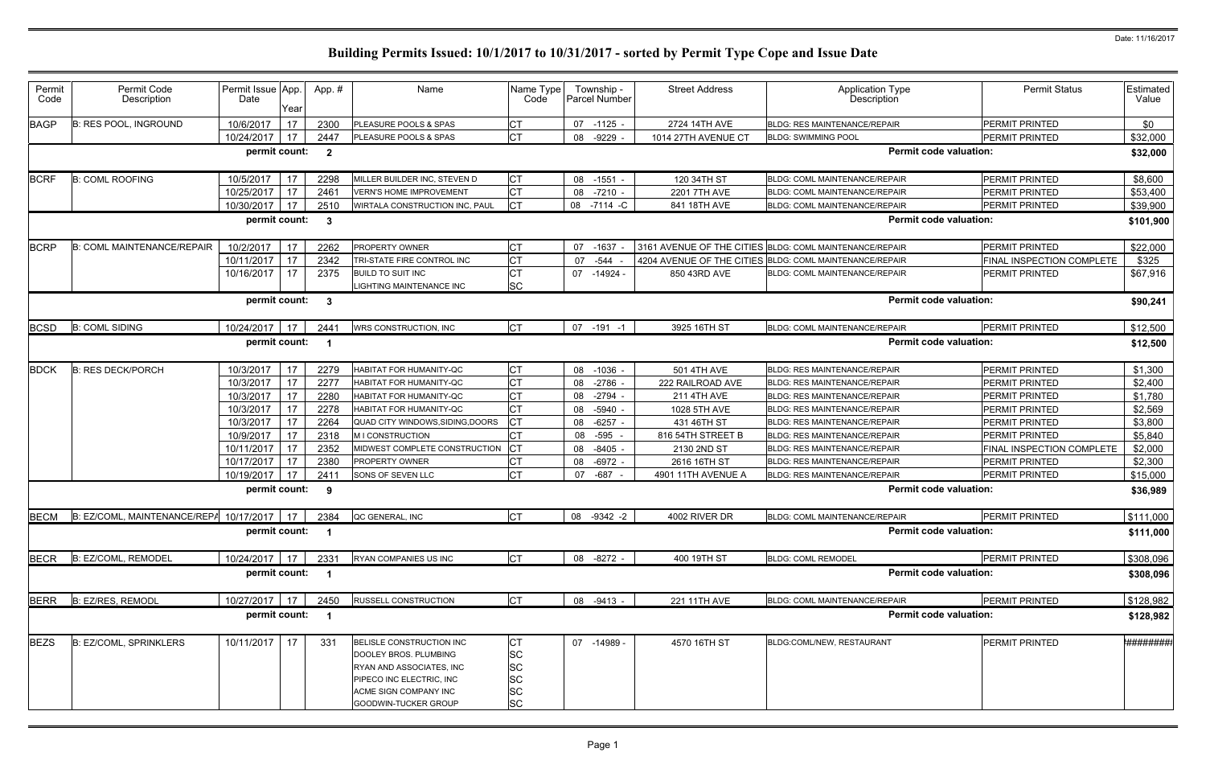| Permit<br>Code | Permit Code<br>Description                   | Permit Issue App.<br>Date | Year | App.#                   | Name                                                                                                                                                              | Name Type<br>Code                                                   |    | Township -<br>Parcel Number | <b>Street Address</b>     | <b>Application Type</b><br>Description                  | <b>Permit Status</b>      | Estimated<br>Value |
|----------------|----------------------------------------------|---------------------------|------|-------------------------|-------------------------------------------------------------------------------------------------------------------------------------------------------------------|---------------------------------------------------------------------|----|-----------------------------|---------------------------|---------------------------------------------------------|---------------------------|--------------------|
| <b>BAGP</b>    | <b>B: RES POOL, INGROUND</b>                 | 10/6/2017                 | 17   | 2300                    | PLEASURE POOLS & SPAS                                                                                                                                             | <b>CT</b>                                                           | 07 | -1125 -                     | 2724 14TH AVE             | <b>BLDG: RES MAINTENANCE/REPAIR</b>                     | PERMIT PRINTED            | \$0                |
|                |                                              | 10/24/2017                | 17   | 2447                    | PLEASURE POOLS & SPAS                                                                                                                                             | <b>CT</b>                                                           | 08 | $-9229$                     | 1014 27TH AVENUE CT       | <b>BLDG: SWIMMING POOL</b>                              | <b>PERMIT PRINTED</b>     | \$32,000           |
|                |                                              | permit count:             |      | $\overline{\mathbf{2}}$ |                                                                                                                                                                   |                                                                     |    |                             |                           | <b>Permit code valuation:</b>                           |                           | \$32,000           |
| <b>BCRF</b>    | <b>B: COML ROOFING</b>                       | 10/5/2017                 | 17   | 2298                    | MILLER BUILDER INC, STEVEN D                                                                                                                                      | CT                                                                  | 08 | $-1551$                     | 120 34TH ST               | <b>BLDG: COML MAINTENANCE/REPAIR</b>                    | PERMIT PRINTED            | \$8,600            |
|                |                                              | 10/25/2017                | 17   | 2461                    | <b>VERN'S HOME IMPROVEMENT</b>                                                                                                                                    | СT                                                                  |    | 08 -7210                    | 2201 7TH AVE              | <b>BLDG: COML MAINTENANCE/REPAIR</b>                    | PERMIT PRINTED            | \$53,400           |
|                |                                              | 10/30/2017                | 17   | 2510                    | WIRTALA CONSTRUCTION INC, PAUL                                                                                                                                    | Iст                                                                 | 08 | $-7114 - C$                 | 841 18TH AVE              | BLDG: COML MAINTENANCE/REPAIR                           | PERMIT PRINTED            | \$39,900           |
|                |                                              | permit count:             |      | -3                      |                                                                                                                                                                   |                                                                     |    |                             |                           | <b>Permit code valuation:</b>                           |                           | \$101,900          |
| <b>BCRP</b>    | <b>B: COML MAINTENANCE/REPAIR</b>            | 10/2/2017                 | 17   | 2262                    | PROPERTY OWNER                                                                                                                                                    | <b>CT</b>                                                           | 07 | $-1637$                     | 3161 AVENUE OF THE CITIES | BLDG: COML MAINTENANCE/REPAIR                           | <b>PERMIT PRINTED</b>     | \$22,000           |
|                |                                              | 10/11/2017                | 17   | 2342                    | TRI-STATE FIRE CONTROL INC                                                                                                                                        |                                                                     | 07 | -544                        |                           | 4204 AVENUE OF THE CITIES BLDG: COML MAINTENANCE/REPAIR | FINAL INSPECTION COMPLETE | \$325              |
|                |                                              | 10/16/2017                | 17   | 2375                    | <b>BUILD TO SUIT INC</b><br>LIGHTING MAINTENANCE INC                                                                                                              | <b>CT</b><br><b>SC</b>                                              |    | 07 -14924 -                 | 850 43RD AVE              | BLDG: COML MAINTENANCE/REPAIR                           | PERMIT PRINTED            | \$67,916           |
|                |                                              | permit count:             |      | - 3                     |                                                                                                                                                                   |                                                                     |    |                             |                           | <b>Permit code valuation:</b>                           |                           | \$90,241           |
| <b>BCSD</b>    | <b>B: COML SIDING</b>                        | 10/24/2017                | 17   | 244'                    | WRS CONSTRUCTION, INC                                                                                                                                             | <b>ICT</b>                                                          |    | 07 -191 -1                  | 3925 16TH ST              | BLDG: COML MAINTENANCE/REPAIR                           | PERMIT PRINTED            | \$12,500           |
|                |                                              | permit count:             |      |                         |                                                                                                                                                                   |                                                                     |    |                             |                           | <b>Permit code valuation:</b>                           |                           | \$12,500           |
| <b>BDCK</b>    | <b>B: RES DECK/PORCH</b>                     | 10/3/2017                 | 17   | 2279                    | HABITAT FOR HUMANITY-QC                                                                                                                                           |                                                                     |    | 08 -1036                    | <b>501 4TH AVE</b>        | <b>BLDG: RES MAINTENANCE/REPAIR</b>                     | <b>PERMIT PRINTED</b>     | \$1,300            |
|                |                                              | 10/3/2017                 | 17   | 2277                    | <b>HABITAT FOR HUMANITY-QC</b>                                                                                                                                    |                                                                     | 08 | $-2786$                     | 222 RAILROAD AVE          | <b>BLDG: RES MAINTENANCE/REPAIR</b>                     | PERMIT PRINTED            | \$2,400            |
|                |                                              | 10/3/2017                 | 17   | 2280                    | HABITAT FOR HUMANITY-QC                                                                                                                                           |                                                                     | 08 | -2794                       | <b>211 4TH AVE</b>        | <b>BLDG: RES MAINTENANCE/REPAIR</b>                     | PERMIT PRINTED            | \$1,780            |
|                |                                              | 10/3/2017                 | 17   | 2278                    | HABITAT FOR HUMANITY-QC                                                                                                                                           | <b>CT</b>                                                           | 08 | -5940                       | 1028 5TH AVE              | <b>BLDG: RES MAINTENANCE/REPAIR</b>                     | PERMIT PRINTED            | \$2,569            |
|                |                                              | 10/3/2017                 | 17   | 2264                    | QUAD CITY WINDOWS, SIDING, DOORS                                                                                                                                  |                                                                     | 08 | $-6257 -$                   | 431 46TH ST               | <b>BLDG: RES MAINTENANCE/REPAIR</b>                     | PERMIT PRINTED            | \$3,800            |
|                |                                              | 10/9/2017                 | 17   | 2318                    | <b>MICONSTRUCTION</b>                                                                                                                                             |                                                                     |    | 08 -595                     | 816 54TH STREET B         | <b>BLDG: RES MAINTENANCE/REPAIR</b>                     | <b>PERMIT PRINTED</b>     | \$5,840            |
|                |                                              | 10/11/2017                | 17   | 2352                    | MIDWEST COMPLETE CONSTRUCTION                                                                                                                                     |                                                                     | 08 | $-8405$                     | 2130 2ND ST               | <b>BLDG: RES MAINTENANCE/REPAIR</b>                     | FINAL INSPECTION COMPLETE | \$2,000            |
|                |                                              | 10/17/2017                | 17   | 2380                    | <b>PROPERTY OWNER</b>                                                                                                                                             |                                                                     | 08 | -6972 -                     | 2616 16TH ST              | <b>BLDG: RES MAINTENANCE/REPAIR</b>                     | PERMIT PRINTED            | \$2,300            |
|                |                                              | 10/19/2017                | 17   | 241'                    | SONS OF SEVEN LLC                                                                                                                                                 | <b>CT</b>                                                           |    | 07 -687                     | 4901 11TH AVENUE A        | BLDG: RES MAINTENANCE/REPAIR                            | PERMIT PRINTED            | \$15,000           |
|                |                                              | permit count:             |      | - 9                     |                                                                                                                                                                   |                                                                     |    |                             |                           | <b>Permit code valuation:</b>                           |                           | \$36,989           |
| <b>BECM</b>    | B: EZ/COML, MAINTENANCE/REPA 10/17/2017   17 |                           |      | 2384                    | QC GENERAL, INC                                                                                                                                                   | СT                                                                  |    | 08 -9342 -2                 | 4002 RIVER DR             | <b>BLDG: COML MAINTENANCE/REPAIR</b>                    | <b>PERMIT PRINTED</b>     | \$111,000          |
|                |                                              | permit count:             |      |                         |                                                                                                                                                                   |                                                                     |    |                             |                           | <b>Permit code valuation:</b>                           |                           | \$111,000          |
| <b>BECR</b>    | B: EZ/COML, REMODEL                          | 10/24/2017 17             |      | 2331                    | RYAN COMPANIES US INC                                                                                                                                             | <b>CT</b>                                                           |    | 08 -8272 -                  | 400 19TH ST               | <b>BLDG: COML REMODEL</b>                               | PERMIT PRINTED            | \$308,096          |
|                |                                              | permit count:             |      |                         |                                                                                                                                                                   |                                                                     |    |                             |                           | <b>Permit code valuation:</b>                           |                           | \$308,096          |
| <b>BERR</b>    | B: EZ/RES, REMODL                            | 10/27/2017 17             |      | 2450                    | RUSSELL CONSTRUCTION                                                                                                                                              | <b>CT</b>                                                           |    | 08 -9413 -                  | 221 11TH AVE              | BLDG: COML MAINTENANCE/REPAIR                           | PERMIT PRINTED            | \$128,982          |
|                |                                              | permit count:             |      | $\overline{\mathbf{1}}$ |                                                                                                                                                                   |                                                                     |    |                             |                           | <b>Permit code valuation:</b>                           |                           | \$128,982          |
| <b>BEZS</b>    | <b>B: EZ/COML, SPRINKLERS</b>                | 10/11/2017                | 17   | 331                     | <b>BELISLE CONSTRUCTION INC</b><br>DOOLEY BROS. PLUMBING<br>RYAN AND ASSOCIATES, INC<br>PIPECO INC ELECTRIC, INC<br>ACME SIGN COMPANY INC<br>GOODWIN-TUCKER GROUP | СT<br><b>SC</b><br><b>SC</b><br><b>SC</b><br><b>SC</b><br><b>SC</b> |    | 07 -14989 -                 | 4570 16TH ST              | BLDG:COML/NEW. RESTAURANT                               | <b>PERMIT PRINTED</b>     | *#########         |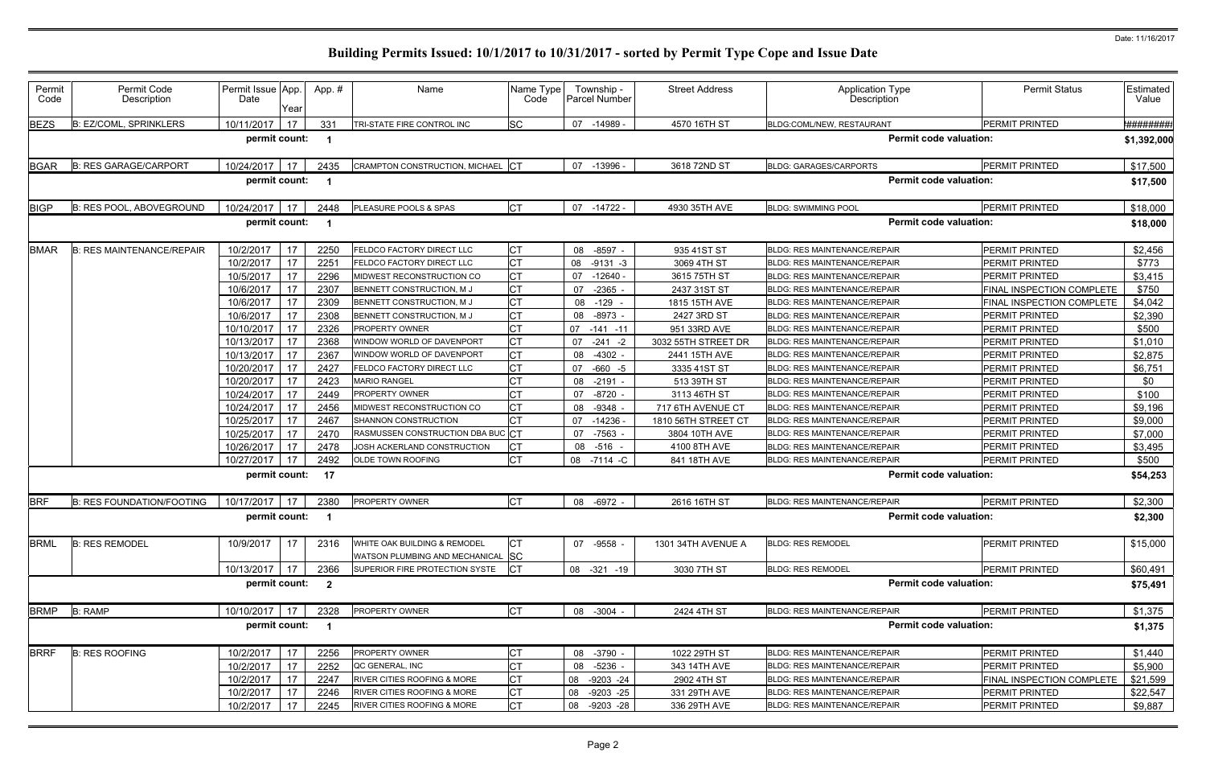| <b>B: EZ/COML, SPRINKLERS</b><br>17<br>SC<br><b>BEZS</b><br>10/11/2017<br>331<br>07 -14989 -<br>4570 16TH ST<br>BLDG:COML/NEW, RESTAURANT<br>TRI-STATE FIRE CONTROL INC<br>permit count:<br><b>Permit code valuation:</b><br>- 1<br><b>B: RES GARAGE/CARPORT</b><br>CRAMPTON CONSTRUCTION, MICHAEL CT<br><b>BLDG: GARAGES/CARPORTS</b><br><b>BGAR</b><br>10/24/2017<br>17<br>2435<br>07 -13996<br>3618 72ND ST<br>permit count:<br><b>Permit code valuation:</b><br>- 1<br><b>BIGP</b><br><b>CT</b><br><b>B: RES POOL, ABOVEGROUND</b><br>10/24/2017<br>07 -14722 -<br>4930 35TH AVE<br>17<br>2448<br>PLEASURE POOLS & SPAS<br><b>BLDG: SWIMMING POOL</b><br>permit count:<br><b>Permit code valuation:</b><br>- 1<br><b>CT</b><br><b>BMAR</b><br>10/2/2017<br>17<br>08 -8597 -<br><b>B: RES MAINTENANCE/REPAIR</b><br>2250<br>FELDCO FACTORY DIRECT LLC<br>935 41ST ST<br><b>BLDG: RES MAINTENANCE/REPAIR</b><br><b>CT</b><br>17<br>10/2/2017<br>2251<br>08<br>$-9131 - 3$<br>3069 4TH ST<br>FELDCO FACTORY DIRECT LLC<br><b>BLDG: RES MAINTENANCE/REPAIR</b><br><b>CT</b><br>17<br>10/5/2017<br>2296<br>MIDWEST RECONSTRUCTION CO<br>$-12640$<br>3615 75TH ST<br><b>BLDG: RES MAINTENANCE/REPAIR</b><br>07<br>СT<br>17<br>10/6/2017<br>2307<br>BENNETT CONSTRUCTION, M J<br>07<br>-2365<br>2437 31ST ST<br><b>BLDG: RES MAINTENANCE/REPAIR</b><br><b>CT</b><br>17<br>10/6/2017<br>2309<br>BENNETT CONSTRUCTION, M J<br>$-129$<br>08<br>1815 15TH AVE<br><b>BLDG: RES MAINTENANCE/REPAIR</b><br>СT<br>17<br>2308<br>$-8973 -$<br>10/6/2017<br>08<br>2427 3RD ST<br>BENNETT CONSTRUCTION, M J<br><b>BLDG: RES MAINTENANCE/REPAIR</b><br><b>CT</b><br>10/10/2017<br>17<br>2326<br>PROPERTY OWNER<br>07<br>951 33RD AVE<br><b>BLDG: RES MAINTENANCE/REPAIR</b><br>$-141 - 11$<br><b>CT</b><br>17<br>10/13/2017<br>2368<br>07<br>3032 55TH STREET DR<br><b>NINDOW WORLD OF DAVENPORT</b><br>$-241 - 2$<br><b>BLDG: RES MAINTENANCE/REPAIR</b><br><b>CT</b><br>10/13/2017<br>17<br>2367<br><b>NINDOW WORLD OF DAVENPORT</b><br>08<br>-4302 -<br>2441 15TH AVE<br>BLDG: RES MAINTENANCE/REPAIR<br>17<br><b>CT</b><br>10/20/2017<br>2427<br>07<br>$-660 - 5$<br>3335 41ST ST<br><b>FELDCO FACTORY DIRECT LLC</b><br>BLDG: RES MAINTENANCE/REPAIR<br>17<br>CT<br>10/20/2017<br>2423<br><b>MARIO RANGEL</b><br><b>BLDG: RES MAINTENANCE/REPAIR</b><br>08<br>-2191 -<br>513 39TH ST<br><b>CT</b><br>10/24/2017<br>17<br>$-8720$<br>2449<br>07<br>3113 46TH ST<br>PROPERTY OWNER<br><b>BLDG: RES MAINTENANCE/REPAIR</b><br>17<br>СT<br>MIDWEST RECONSTRUCTION CO<br><b>BLDG: RES MAINTENANCE/REPAIR</b><br>10/24/2017<br>2456<br>08<br>-9348<br>717 6TH AVENUE CT<br><b>CT</b><br>10/25/2017<br>17<br>$-14236$<br>2467<br>07<br>1810 56TH STREET CT<br>SHANNON CONSTRUCTION<br><b>BLDG: RES MAINTENANCE/REPAIR</b><br>RASMUSSEN CONSTRUCTION DBA BUC CT<br>10/25/2017<br>17<br>2470<br>-7563<br>07<br>3804 10TH AVE<br><b>BLDG: RES MAINTENANCE/REPAIR</b><br>10/26/2017<br>17<br>СT<br>2478<br>JOSH ACKERLAND CONSTRUCTION<br>4100 8TH AVE<br><b>BLDG: RES MAINTENANCE/REPAIR</b><br>08 -516<br><b>CT</b><br>10/27/2017<br>17<br>2492<br><b>OLDE TOWN ROOFING</b><br>08 -7114 -C<br>841 18TH AVE<br>BLDG: RES MAINTENANCE/REPAIR | <b>PERMIT PRINTED</b><br><b>PERMIT PRINTED</b><br>PERMIT PRINTED<br><b>PERMIT PRINTED</b><br><b>PERMIT PRINTED</b><br>PERMIT PRINTED<br>FINAL INSPECTION COMPLETE<br>FINAL INSPECTION COMPLETE<br><b>PERMIT PRINTED</b><br><b>PERMIT PRINTED</b><br>PERMIT PRINTED<br><b>PERMIT PRINTED</b><br><b>PERMIT PRINTED</b><br>PERMIT PRINTED<br>PERMIT PRINTED | <del>*########</del><br>\$1,392,000<br>\$17,500<br>\$17,500<br>\$18,000<br>\$18,000<br>\$2,456<br>\$773<br>\$3,415<br>\$750<br>\$4,042<br>\$2,390<br>\$500<br>\$1,010<br>\$2,875<br>\$6,751 |
|-------------------------------------------------------------------------------------------------------------------------------------------------------------------------------------------------------------------------------------------------------------------------------------------------------------------------------------------------------------------------------------------------------------------------------------------------------------------------------------------------------------------------------------------------------------------------------------------------------------------------------------------------------------------------------------------------------------------------------------------------------------------------------------------------------------------------------------------------------------------------------------------------------------------------------------------------------------------------------------------------------------------------------------------------------------------------------------------------------------------------------------------------------------------------------------------------------------------------------------------------------------------------------------------------------------------------------------------------------------------------------------------------------------------------------------------------------------------------------------------------------------------------------------------------------------------------------------------------------------------------------------------------------------------------------------------------------------------------------------------------------------------------------------------------------------------------------------------------------------------------------------------------------------------------------------------------------------------------------------------------------------------------------------------------------------------------------------------------------------------------------------------------------------------------------------------------------------------------------------------------------------------------------------------------------------------------------------------------------------------------------------------------------------------------------------------------------------------------------------------------------------------------------------------------------------------------------------------------------------------------------------------------------------------------------------------------------------------------------------------------------------------------------------------------------------------------------------------------------------------------------------------------------------------------------------------------------------------------------------------------------------------------------------------------------------------------------------------------------------------------------------------------------------------------------------------------------------------------|----------------------------------------------------------------------------------------------------------------------------------------------------------------------------------------------------------------------------------------------------------------------------------------------------------------------------------------------------------|---------------------------------------------------------------------------------------------------------------------------------------------------------------------------------------------|
|                                                                                                                                                                                                                                                                                                                                                                                                                                                                                                                                                                                                                                                                                                                                                                                                                                                                                                                                                                                                                                                                                                                                                                                                                                                                                                                                                                                                                                                                                                                                                                                                                                                                                                                                                                                                                                                                                                                                                                                                                                                                                                                                                                                                                                                                                                                                                                                                                                                                                                                                                                                                                                                                                                                                                                                                                                                                                                                                                                                                                                                                                                                                                                                                                         |                                                                                                                                                                                                                                                                                                                                                          |                                                                                                                                                                                             |
|                                                                                                                                                                                                                                                                                                                                                                                                                                                                                                                                                                                                                                                                                                                                                                                                                                                                                                                                                                                                                                                                                                                                                                                                                                                                                                                                                                                                                                                                                                                                                                                                                                                                                                                                                                                                                                                                                                                                                                                                                                                                                                                                                                                                                                                                                                                                                                                                                                                                                                                                                                                                                                                                                                                                                                                                                                                                                                                                                                                                                                                                                                                                                                                                                         |                                                                                                                                                                                                                                                                                                                                                          |                                                                                                                                                                                             |
|                                                                                                                                                                                                                                                                                                                                                                                                                                                                                                                                                                                                                                                                                                                                                                                                                                                                                                                                                                                                                                                                                                                                                                                                                                                                                                                                                                                                                                                                                                                                                                                                                                                                                                                                                                                                                                                                                                                                                                                                                                                                                                                                                                                                                                                                                                                                                                                                                                                                                                                                                                                                                                                                                                                                                                                                                                                                                                                                                                                                                                                                                                                                                                                                                         |                                                                                                                                                                                                                                                                                                                                                          |                                                                                                                                                                                             |
|                                                                                                                                                                                                                                                                                                                                                                                                                                                                                                                                                                                                                                                                                                                                                                                                                                                                                                                                                                                                                                                                                                                                                                                                                                                                                                                                                                                                                                                                                                                                                                                                                                                                                                                                                                                                                                                                                                                                                                                                                                                                                                                                                                                                                                                                                                                                                                                                                                                                                                                                                                                                                                                                                                                                                                                                                                                                                                                                                                                                                                                                                                                                                                                                                         |                                                                                                                                                                                                                                                                                                                                                          |                                                                                                                                                                                             |
|                                                                                                                                                                                                                                                                                                                                                                                                                                                                                                                                                                                                                                                                                                                                                                                                                                                                                                                                                                                                                                                                                                                                                                                                                                                                                                                                                                                                                                                                                                                                                                                                                                                                                                                                                                                                                                                                                                                                                                                                                                                                                                                                                                                                                                                                                                                                                                                                                                                                                                                                                                                                                                                                                                                                                                                                                                                                                                                                                                                                                                                                                                                                                                                                                         |                                                                                                                                                                                                                                                                                                                                                          |                                                                                                                                                                                             |
|                                                                                                                                                                                                                                                                                                                                                                                                                                                                                                                                                                                                                                                                                                                                                                                                                                                                                                                                                                                                                                                                                                                                                                                                                                                                                                                                                                                                                                                                                                                                                                                                                                                                                                                                                                                                                                                                                                                                                                                                                                                                                                                                                                                                                                                                                                                                                                                                                                                                                                                                                                                                                                                                                                                                                                                                                                                                                                                                                                                                                                                                                                                                                                                                                         |                                                                                                                                                                                                                                                                                                                                                          |                                                                                                                                                                                             |
|                                                                                                                                                                                                                                                                                                                                                                                                                                                                                                                                                                                                                                                                                                                                                                                                                                                                                                                                                                                                                                                                                                                                                                                                                                                                                                                                                                                                                                                                                                                                                                                                                                                                                                                                                                                                                                                                                                                                                                                                                                                                                                                                                                                                                                                                                                                                                                                                                                                                                                                                                                                                                                                                                                                                                                                                                                                                                                                                                                                                                                                                                                                                                                                                                         |                                                                                                                                                                                                                                                                                                                                                          |                                                                                                                                                                                             |
|                                                                                                                                                                                                                                                                                                                                                                                                                                                                                                                                                                                                                                                                                                                                                                                                                                                                                                                                                                                                                                                                                                                                                                                                                                                                                                                                                                                                                                                                                                                                                                                                                                                                                                                                                                                                                                                                                                                                                                                                                                                                                                                                                                                                                                                                                                                                                                                                                                                                                                                                                                                                                                                                                                                                                                                                                                                                                                                                                                                                                                                                                                                                                                                                                         |                                                                                                                                                                                                                                                                                                                                                          |                                                                                                                                                                                             |
|                                                                                                                                                                                                                                                                                                                                                                                                                                                                                                                                                                                                                                                                                                                                                                                                                                                                                                                                                                                                                                                                                                                                                                                                                                                                                                                                                                                                                                                                                                                                                                                                                                                                                                                                                                                                                                                                                                                                                                                                                                                                                                                                                                                                                                                                                                                                                                                                                                                                                                                                                                                                                                                                                                                                                                                                                                                                                                                                                                                                                                                                                                                                                                                                                         |                                                                                                                                                                                                                                                                                                                                                          |                                                                                                                                                                                             |
|                                                                                                                                                                                                                                                                                                                                                                                                                                                                                                                                                                                                                                                                                                                                                                                                                                                                                                                                                                                                                                                                                                                                                                                                                                                                                                                                                                                                                                                                                                                                                                                                                                                                                                                                                                                                                                                                                                                                                                                                                                                                                                                                                                                                                                                                                                                                                                                                                                                                                                                                                                                                                                                                                                                                                                                                                                                                                                                                                                                                                                                                                                                                                                                                                         |                                                                                                                                                                                                                                                                                                                                                          |                                                                                                                                                                                             |
|                                                                                                                                                                                                                                                                                                                                                                                                                                                                                                                                                                                                                                                                                                                                                                                                                                                                                                                                                                                                                                                                                                                                                                                                                                                                                                                                                                                                                                                                                                                                                                                                                                                                                                                                                                                                                                                                                                                                                                                                                                                                                                                                                                                                                                                                                                                                                                                                                                                                                                                                                                                                                                                                                                                                                                                                                                                                                                                                                                                                                                                                                                                                                                                                                         |                                                                                                                                                                                                                                                                                                                                                          |                                                                                                                                                                                             |
|                                                                                                                                                                                                                                                                                                                                                                                                                                                                                                                                                                                                                                                                                                                                                                                                                                                                                                                                                                                                                                                                                                                                                                                                                                                                                                                                                                                                                                                                                                                                                                                                                                                                                                                                                                                                                                                                                                                                                                                                                                                                                                                                                                                                                                                                                                                                                                                                                                                                                                                                                                                                                                                                                                                                                                                                                                                                                                                                                                                                                                                                                                                                                                                                                         |                                                                                                                                                                                                                                                                                                                                                          |                                                                                                                                                                                             |
|                                                                                                                                                                                                                                                                                                                                                                                                                                                                                                                                                                                                                                                                                                                                                                                                                                                                                                                                                                                                                                                                                                                                                                                                                                                                                                                                                                                                                                                                                                                                                                                                                                                                                                                                                                                                                                                                                                                                                                                                                                                                                                                                                                                                                                                                                                                                                                                                                                                                                                                                                                                                                                                                                                                                                                                                                                                                                                                                                                                                                                                                                                                                                                                                                         |                                                                                                                                                                                                                                                                                                                                                          |                                                                                                                                                                                             |
|                                                                                                                                                                                                                                                                                                                                                                                                                                                                                                                                                                                                                                                                                                                                                                                                                                                                                                                                                                                                                                                                                                                                                                                                                                                                                                                                                                                                                                                                                                                                                                                                                                                                                                                                                                                                                                                                                                                                                                                                                                                                                                                                                                                                                                                                                                                                                                                                                                                                                                                                                                                                                                                                                                                                                                                                                                                                                                                                                                                                                                                                                                                                                                                                                         |                                                                                                                                                                                                                                                                                                                                                          |                                                                                                                                                                                             |
|                                                                                                                                                                                                                                                                                                                                                                                                                                                                                                                                                                                                                                                                                                                                                                                                                                                                                                                                                                                                                                                                                                                                                                                                                                                                                                                                                                                                                                                                                                                                                                                                                                                                                                                                                                                                                                                                                                                                                                                                                                                                                                                                                                                                                                                                                                                                                                                                                                                                                                                                                                                                                                                                                                                                                                                                                                                                                                                                                                                                                                                                                                                                                                                                                         |                                                                                                                                                                                                                                                                                                                                                          |                                                                                                                                                                                             |
|                                                                                                                                                                                                                                                                                                                                                                                                                                                                                                                                                                                                                                                                                                                                                                                                                                                                                                                                                                                                                                                                                                                                                                                                                                                                                                                                                                                                                                                                                                                                                                                                                                                                                                                                                                                                                                                                                                                                                                                                                                                                                                                                                                                                                                                                                                                                                                                                                                                                                                                                                                                                                                                                                                                                                                                                                                                                                                                                                                                                                                                                                                                                                                                                                         |                                                                                                                                                                                                                                                                                                                                                          |                                                                                                                                                                                             |
|                                                                                                                                                                                                                                                                                                                                                                                                                                                                                                                                                                                                                                                                                                                                                                                                                                                                                                                                                                                                                                                                                                                                                                                                                                                                                                                                                                                                                                                                                                                                                                                                                                                                                                                                                                                                                                                                                                                                                                                                                                                                                                                                                                                                                                                                                                                                                                                                                                                                                                                                                                                                                                                                                                                                                                                                                                                                                                                                                                                                                                                                                                                                                                                                                         |                                                                                                                                                                                                                                                                                                                                                          | \$0                                                                                                                                                                                         |
|                                                                                                                                                                                                                                                                                                                                                                                                                                                                                                                                                                                                                                                                                                                                                                                                                                                                                                                                                                                                                                                                                                                                                                                                                                                                                                                                                                                                                                                                                                                                                                                                                                                                                                                                                                                                                                                                                                                                                                                                                                                                                                                                                                                                                                                                                                                                                                                                                                                                                                                                                                                                                                                                                                                                                                                                                                                                                                                                                                                                                                                                                                                                                                                                                         |                                                                                                                                                                                                                                                                                                                                                          | \$100                                                                                                                                                                                       |
|                                                                                                                                                                                                                                                                                                                                                                                                                                                                                                                                                                                                                                                                                                                                                                                                                                                                                                                                                                                                                                                                                                                                                                                                                                                                                                                                                                                                                                                                                                                                                                                                                                                                                                                                                                                                                                                                                                                                                                                                                                                                                                                                                                                                                                                                                                                                                                                                                                                                                                                                                                                                                                                                                                                                                                                                                                                                                                                                                                                                                                                                                                                                                                                                                         | <b>PERMIT PRINTED</b>                                                                                                                                                                                                                                                                                                                                    | \$9,196                                                                                                                                                                                     |
|                                                                                                                                                                                                                                                                                                                                                                                                                                                                                                                                                                                                                                                                                                                                                                                                                                                                                                                                                                                                                                                                                                                                                                                                                                                                                                                                                                                                                                                                                                                                                                                                                                                                                                                                                                                                                                                                                                                                                                                                                                                                                                                                                                                                                                                                                                                                                                                                                                                                                                                                                                                                                                                                                                                                                                                                                                                                                                                                                                                                                                                                                                                                                                                                                         | PERMIT PRINTED                                                                                                                                                                                                                                                                                                                                           | \$9,000                                                                                                                                                                                     |
|                                                                                                                                                                                                                                                                                                                                                                                                                                                                                                                                                                                                                                                                                                                                                                                                                                                                                                                                                                                                                                                                                                                                                                                                                                                                                                                                                                                                                                                                                                                                                                                                                                                                                                                                                                                                                                                                                                                                                                                                                                                                                                                                                                                                                                                                                                                                                                                                                                                                                                                                                                                                                                                                                                                                                                                                                                                                                                                                                                                                                                                                                                                                                                                                                         | <b>PERMIT PRINTED</b>                                                                                                                                                                                                                                                                                                                                    | \$7,000                                                                                                                                                                                     |
|                                                                                                                                                                                                                                                                                                                                                                                                                                                                                                                                                                                                                                                                                                                                                                                                                                                                                                                                                                                                                                                                                                                                                                                                                                                                                                                                                                                                                                                                                                                                                                                                                                                                                                                                                                                                                                                                                                                                                                                                                                                                                                                                                                                                                                                                                                                                                                                                                                                                                                                                                                                                                                                                                                                                                                                                                                                                                                                                                                                                                                                                                                                                                                                                                         | PERMIT PRINTED                                                                                                                                                                                                                                                                                                                                           | \$3,495                                                                                                                                                                                     |
|                                                                                                                                                                                                                                                                                                                                                                                                                                                                                                                                                                                                                                                                                                                                                                                                                                                                                                                                                                                                                                                                                                                                                                                                                                                                                                                                                                                                                                                                                                                                                                                                                                                                                                                                                                                                                                                                                                                                                                                                                                                                                                                                                                                                                                                                                                                                                                                                                                                                                                                                                                                                                                                                                                                                                                                                                                                                                                                                                                                                                                                                                                                                                                                                                         | <b>PERMIT PRINTED</b>                                                                                                                                                                                                                                                                                                                                    | \$500                                                                                                                                                                                       |
| <b>Permit code valuation:</b><br>permit count:<br>-17                                                                                                                                                                                                                                                                                                                                                                                                                                                                                                                                                                                                                                                                                                                                                                                                                                                                                                                                                                                                                                                                                                                                                                                                                                                                                                                                                                                                                                                                                                                                                                                                                                                                                                                                                                                                                                                                                                                                                                                                                                                                                                                                                                                                                                                                                                                                                                                                                                                                                                                                                                                                                                                                                                                                                                                                                                                                                                                                                                                                                                                                                                                                                                   |                                                                                                                                                                                                                                                                                                                                                          | \$54,253                                                                                                                                                                                    |
| <b>BRF</b><br><b>B: RES FOUNDATION/FOOTING</b><br>10/17/2017<br>СT<br>08 -6972 -<br>2616 16TH ST<br>2380<br>PROPERTY OWNER<br>-17<br><b>BLDG: RES MAINTENANCE/REPAIR</b>                                                                                                                                                                                                                                                                                                                                                                                                                                                                                                                                                                                                                                                                                                                                                                                                                                                                                                                                                                                                                                                                                                                                                                                                                                                                                                                                                                                                                                                                                                                                                                                                                                                                                                                                                                                                                                                                                                                                                                                                                                                                                                                                                                                                                                                                                                                                                                                                                                                                                                                                                                                                                                                                                                                                                                                                                                                                                                                                                                                                                                                | PERMIT PRINTED                                                                                                                                                                                                                                                                                                                                           | \$2,300                                                                                                                                                                                     |
| permit count: 1<br><b>Permit code valuation:</b>                                                                                                                                                                                                                                                                                                                                                                                                                                                                                                                                                                                                                                                                                                                                                                                                                                                                                                                                                                                                                                                                                                                                                                                                                                                                                                                                                                                                                                                                                                                                                                                                                                                                                                                                                                                                                                                                                                                                                                                                                                                                                                                                                                                                                                                                                                                                                                                                                                                                                                                                                                                                                                                                                                                                                                                                                                                                                                                                                                                                                                                                                                                                                                        |                                                                                                                                                                                                                                                                                                                                                          | \$2,300                                                                                                                                                                                     |
| <b>BRML</b><br><b>B: RES REMODEL</b><br>10/9/2017<br>17<br>WHITE OAK BUILDING & REMODEL<br>СT<br>07 -9558 -<br>1301 34TH AVENUE A<br><b>BLDG: RES REMODEL</b><br>2316<br>WATSON PLUMBING AND MECHANICAL SC                                                                                                                                                                                                                                                                                                                                                                                                                                                                                                                                                                                                                                                                                                                                                                                                                                                                                                                                                                                                                                                                                                                                                                                                                                                                                                                                                                                                                                                                                                                                                                                                                                                                                                                                                                                                                                                                                                                                                                                                                                                                                                                                                                                                                                                                                                                                                                                                                                                                                                                                                                                                                                                                                                                                                                                                                                                                                                                                                                                                              | <b>PERMIT PRINTED</b>                                                                                                                                                                                                                                                                                                                                    | \$15,000                                                                                                                                                                                    |
| 17<br><b>CT</b><br>10/13/2017<br>2366<br>SUPERIOR FIRE PROTECTION SYSTE<br>08 -321 -19<br>3030 7TH ST<br><b>BLDG: RES REMODEL</b>                                                                                                                                                                                                                                                                                                                                                                                                                                                                                                                                                                                                                                                                                                                                                                                                                                                                                                                                                                                                                                                                                                                                                                                                                                                                                                                                                                                                                                                                                                                                                                                                                                                                                                                                                                                                                                                                                                                                                                                                                                                                                                                                                                                                                                                                                                                                                                                                                                                                                                                                                                                                                                                                                                                                                                                                                                                                                                                                                                                                                                                                                       | <b>PERMIT PRINTED</b>                                                                                                                                                                                                                                                                                                                                    | \$60,491                                                                                                                                                                                    |
| permit count:<br><b>Permit code valuation:</b><br>$\overline{\mathbf{2}}$                                                                                                                                                                                                                                                                                                                                                                                                                                                                                                                                                                                                                                                                                                                                                                                                                                                                                                                                                                                                                                                                                                                                                                                                                                                                                                                                                                                                                                                                                                                                                                                                                                                                                                                                                                                                                                                                                                                                                                                                                                                                                                                                                                                                                                                                                                                                                                                                                                                                                                                                                                                                                                                                                                                                                                                                                                                                                                                                                                                                                                                                                                                                               |                                                                                                                                                                                                                                                                                                                                                          | \$75,491                                                                                                                                                                                    |
| <b>CT</b><br><b>BRMP</b><br><b>B: RAMP</b><br>2328<br>PROPERTY OWNER<br>08 -3004 -<br>BLDG: RES MAINTENANCE/REPAIR<br>10/10/2017 17<br>2424 4TH ST                                                                                                                                                                                                                                                                                                                                                                                                                                                                                                                                                                                                                                                                                                                                                                                                                                                                                                                                                                                                                                                                                                                                                                                                                                                                                                                                                                                                                                                                                                                                                                                                                                                                                                                                                                                                                                                                                                                                                                                                                                                                                                                                                                                                                                                                                                                                                                                                                                                                                                                                                                                                                                                                                                                                                                                                                                                                                                                                                                                                                                                                      | PERMIT PRINTED                                                                                                                                                                                                                                                                                                                                           | \$1,375                                                                                                                                                                                     |
| <b>Permit code valuation:</b><br>permit count:<br>$\overline{\mathbf{1}}$                                                                                                                                                                                                                                                                                                                                                                                                                                                                                                                                                                                                                                                                                                                                                                                                                                                                                                                                                                                                                                                                                                                                                                                                                                                                                                                                                                                                                                                                                                                                                                                                                                                                                                                                                                                                                                                                                                                                                                                                                                                                                                                                                                                                                                                                                                                                                                                                                                                                                                                                                                                                                                                                                                                                                                                                                                                                                                                                                                                                                                                                                                                                               |                                                                                                                                                                                                                                                                                                                                                          | \$1,375                                                                                                                                                                                     |
| <b>BRRF</b><br>СT<br><b>B: RES ROOFING</b><br>10/2/2017<br>17<br>08 -3790 -<br>2256<br>PROPERTY OWNER<br>1022 29TH ST<br><b>BLDG: RES MAINTENANCE/REPAIR</b>                                                                                                                                                                                                                                                                                                                                                                                                                                                                                                                                                                                                                                                                                                                                                                                                                                                                                                                                                                                                                                                                                                                                                                                                                                                                                                                                                                                                                                                                                                                                                                                                                                                                                                                                                                                                                                                                                                                                                                                                                                                                                                                                                                                                                                                                                                                                                                                                                                                                                                                                                                                                                                                                                                                                                                                                                                                                                                                                                                                                                                                            | <b>PERMIT PRINTED</b>                                                                                                                                                                                                                                                                                                                                    | \$1,440                                                                                                                                                                                     |
| <b>CT</b><br>10/2/2017<br>17<br>2252<br>08 -5236 -<br>QC GENERAL, INC<br>343 14TH AVE<br><b>BLDG: RES MAINTENANCE/REPAIR</b>                                                                                                                                                                                                                                                                                                                                                                                                                                                                                                                                                                                                                                                                                                                                                                                                                                                                                                                                                                                                                                                                                                                                                                                                                                                                                                                                                                                                                                                                                                                                                                                                                                                                                                                                                                                                                                                                                                                                                                                                                                                                                                                                                                                                                                                                                                                                                                                                                                                                                                                                                                                                                                                                                                                                                                                                                                                                                                                                                                                                                                                                                            | <b>PERMIT PRINTED</b>                                                                                                                                                                                                                                                                                                                                    | \$5,900                                                                                                                                                                                     |
| СT<br>17<br>10/2/2017<br>RIVER CITIES ROOFING & MORE<br>08<br>$-9203 -24$<br>2902 4TH ST<br>2247<br>BLDG: RES MAINTENANCE/REPAIR                                                                                                                                                                                                                                                                                                                                                                                                                                                                                                                                                                                                                                                                                                                                                                                                                                                                                                                                                                                                                                                                                                                                                                                                                                                                                                                                                                                                                                                                                                                                                                                                                                                                                                                                                                                                                                                                                                                                                                                                                                                                                                                                                                                                                                                                                                                                                                                                                                                                                                                                                                                                                                                                                                                                                                                                                                                                                                                                                                                                                                                                                        | FINAL INSPECTION COMPLETE                                                                                                                                                                                                                                                                                                                                | \$21,599                                                                                                                                                                                    |
| СT<br>17<br>10/2/2017<br>2246<br>RIVER CITIES ROOFING & MORE<br>08<br>-9203 -25<br>BLDG: RES MAINTENANCE/REPAIR<br>331 29TH AVE                                                                                                                                                                                                                                                                                                                                                                                                                                                                                                                                                                                                                                                                                                                                                                                                                                                                                                                                                                                                                                                                                                                                                                                                                                                                                                                                                                                                                                                                                                                                                                                                                                                                                                                                                                                                                                                                                                                                                                                                                                                                                                                                                                                                                                                                                                                                                                                                                                                                                                                                                                                                                                                                                                                                                                                                                                                                                                                                                                                                                                                                                         |                                                                                                                                                                                                                                                                                                                                                          | \$22,547                                                                                                                                                                                    |
| <b>CT</b><br>17<br>10/2/2017<br>2245<br>08<br>-9203 -28<br>336 29TH AVE<br>RIVER CITIES ROOFING & MORE<br>BLDG: RES MAINTENANCE/REPAIR                                                                                                                                                                                                                                                                                                                                                                                                                                                                                                                                                                                                                                                                                                                                                                                                                                                                                                                                                                                                                                                                                                                                                                                                                                                                                                                                                                                                                                                                                                                                                                                                                                                                                                                                                                                                                                                                                                                                                                                                                                                                                                                                                                                                                                                                                                                                                                                                                                                                                                                                                                                                                                                                                                                                                                                                                                                                                                                                                                                                                                                                                  | PERMIT PRINTED                                                                                                                                                                                                                                                                                                                                           |                                                                                                                                                                                             |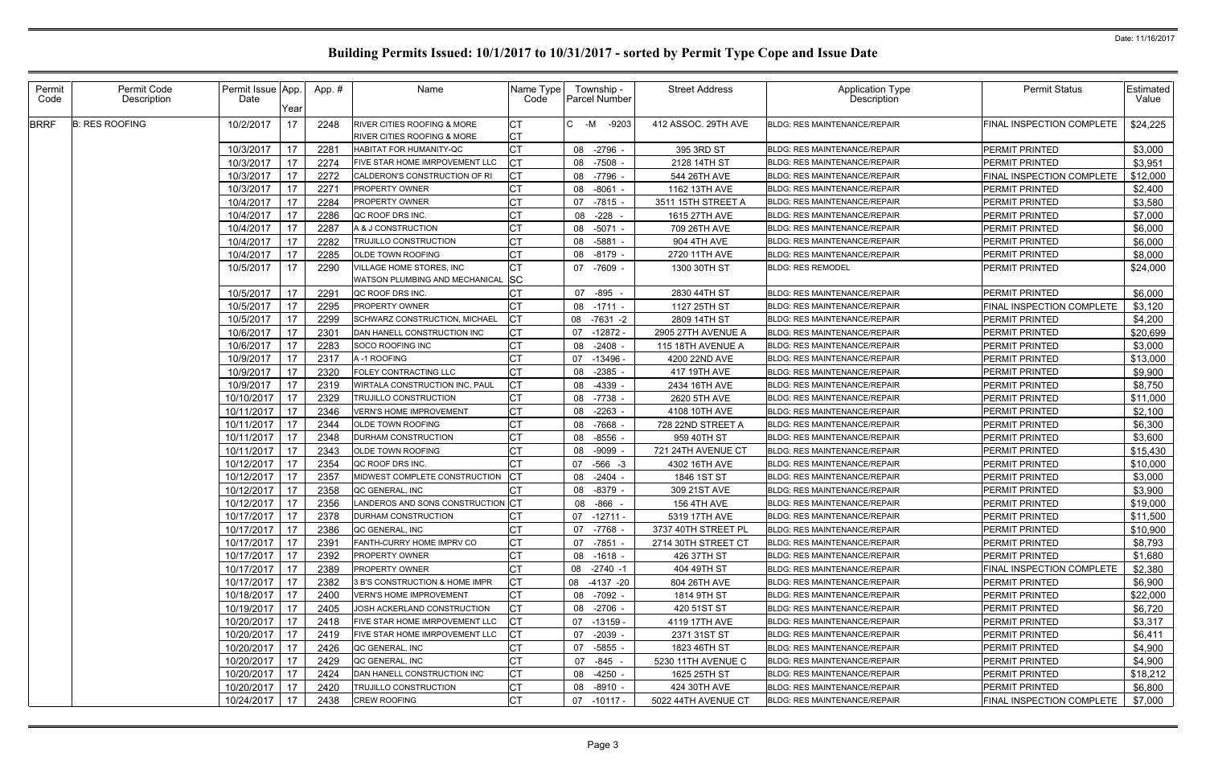| Permit<br>Code | Permit Code<br>Description | Permit Issue App.<br>Date | Year | App.#         | Name                                                                             | Name Type<br>Code | Township -<br><b>Parcel Number</b> | <b>Street Address</b> | <b>Application Type</b><br>Description | <b>Permit Status</b>      | Estimated<br>Value |
|----------------|----------------------------|---------------------------|------|---------------|----------------------------------------------------------------------------------|-------------------|------------------------------------|-----------------------|----------------------------------------|---------------------------|--------------------|
| <b>BRRF</b>    | <b>B: RES ROOFING</b>      | 10/2/2017                 | 17   | 2248          | <b>RIVER CITIES ROOFING &amp; MORE</b><br><b>RIVER CITIES ROOFING &amp; MORE</b> | СT<br><b>CT</b>   | C -M<br>$-9203$                    | 412 ASSOC. 29TH AVE   | <b>BLDG: RES MAINTENANCE/REPAIR</b>    | FINAL INSPECTION COMPLETE | \$24,225           |
|                |                            | 10/3/2017                 | 17   | 228'          | HABITAT FOR HUMANITY-QC                                                          | <b>CT</b>         | 08 -2796 -                         | 395 3RD ST            | <b>BLDG: RES MAINTENANCE/REPAIR</b>    | PERMIT PRINTED            | \$3,000            |
|                |                            | 10/3/2017                 | 17   | 2274          | FIVE STAR HOME IMRPOVEMENT LLC                                                   | CT.               | 08 -7508                           | 2128 14TH ST          | <b>BLDG: RES MAINTENANCE/REPAIR</b>    | PERMIT PRINTED            | \$3,951            |
|                |                            | 10/3/2017                 | 17   | 2272          | CALDERON'S CONSTRUCTION OF RI                                                    | <b>CT</b>         | 08 -7796 -                         | 544 26TH AVE          | <b>BLDG: RES MAINTENANCE/REPAIR</b>    | FINAL INSPECTION COMPLETE | \$12,000           |
|                |                            | 10/3/2017                 | 17   | $227^{\circ}$ | <b>PROPERTY OWNER</b>                                                            |                   | 08 -8061 -                         | 1162 13TH AVE         | <b>BLDG: RES MAINTENANCE/REPAIR</b>    | PERMIT PRINTED            | \$2,400            |
|                |                            | 10/4/2017                 | 17   | 2284          | <b>PROPERTY OWNER</b>                                                            |                   | 07 -7815 -                         | 3511 15TH STREET A    | <b>BLDG: RES MAINTENANCE/REPAIR</b>    | PERMIT PRINTED            | \$3,580            |
|                |                            | 10/4/2017                 | 17   | 2286          | QC ROOF DRS INC.                                                                 |                   | 08 -228 -                          | 1615 27TH AVE         | <b>BLDG: RES MAINTENANCE/REPAIR</b>    | PERMIT PRINTED            | \$7,000            |
|                |                            | 10/4/2017                 | 17   | 2287          | A & J CONSTRUCTION                                                               |                   | 08 -5071 -                         | 709 26TH AVE          | <b>BLDG: RES MAINTENANCE/REPAIR</b>    | PERMIT PRINTED            | \$6,000            |
|                |                            | 10/4/2017                 | 17   | 2282          | <b>TRUJILLO CONSTRUCTION</b>                                                     |                   | 08 -5881                           | 904 4TH AVE           | <b>BLDG: RES MAINTENANCE/REPAIR</b>    | PERMIT PRINTED            | \$6,000            |
|                |                            | 10/4/2017                 | 17   | 2285          | <b>OLDE TOWN ROOFING</b>                                                         |                   | 08<br>-8179 -                      | 2720 11TH AVE         | BLDG: RES MAINTENANCE/REPAIR           | PERMIT PRINTED            | \$8,000            |
|                |                            | 10/5/2017                 | 17   | 2290          | VILLAGE HOME STORES, INC                                                         |                   | 07 -7609 -                         | 1300 30TH ST          | <b>BLDG: RES REMODEL</b>               | PERMIT PRINTED            | \$24,000           |
|                |                            |                           |      |               | WATSON PLUMBING AND MECHANICAL SC                                                |                   |                                    |                       |                                        |                           |                    |
|                |                            | 10/5/2017                 | 17   | 2291          | QC ROOF DRS INC.                                                                 |                   | 07 -895                            | 2830 44TH ST          | <b>BLDG: RES MAINTENANCE/REPAIR</b>    | PERMIT PRINTED            | \$6,000            |
|                |                            | 10/5/2017                 | 17   | 2295          | <b>PROPERTY OWNER</b>                                                            |                   | 08 -1711 -                         | 1127 25TH ST          | <b>BLDG: RES MAINTENANCE/REPAIR</b>    | FINAL INSPECTION COMPLETE | \$3,120            |
|                |                            | 10/5/2017                 | 17   | 2299          | SCHWARZ CONSTRUCTION, MICHAEL                                                    |                   | 08<br>-7631 -2                     | 2809 14TH ST          | <b>BLDG: RES MAINTENANCE/REPAIR</b>    | PERMIT PRINTED            | \$4,200            |
|                |                            | 10/6/2017                 | 17   | 230'          | DAN HANELL CONSTRUCTION INC                                                      | <b>CT</b>         | 07<br>-12872 -                     | 2905 27TH AVENUE A    | <b>BLDG: RES MAINTENANCE/REPAIR</b>    | PERMIT PRINTED            | \$20,699           |
|                |                            | 10/6/2017                 | 17   | 2283          | SOCO ROOFING INC                                                                 | CT                | 08 -2408 -                         | 115 18TH AVENUE A     | <b>BLDG: RES MAINTENANCE/REPAIR</b>    | PERMIT PRINTED            | \$3,000            |
|                |                            | 10/9/2017                 | 17   | 2317          | A-1 ROOFING                                                                      |                   | 07<br>$-13496$                     | 4200 22ND AVE         | <b>BLDG: RES MAINTENANCE/REPAIR</b>    | PERMIT PRINTED            | \$13,000           |
|                |                            | 10/9/2017                 | 17   | 2320          | FOLEY CONTRACTING LLC                                                            |                   | $-2385$<br>08                      | 417 19TH AVE          | BLDG: RES MAINTENANCE/REPAIR           | PERMIT PRINTED            | \$9,900            |
|                |                            | 10/9/2017                 | 17   | 2319          | WIRTALA CONSTRUCTION INC, PAUL                                                   |                   | $-4339$ -<br>08                    | 2434 16TH AVE         | BLDG: RES MAINTENANCE/REPAIR           | PERMIT PRINTED            | \$8,750            |
|                |                            | 10/10/2017                | 17   | 2329          | TRUJILLO CONSTRUCTION                                                            |                   | 08 -7738 -                         | 2620 5TH AVE          | <b>BLDG: RES MAINTENANCE/REPAIR</b>    | PERMIT PRINTED            | \$11,000           |
|                |                            | 10/11/2017                | 17   | 2346          | <b>VERN'S HOME IMPROVEMENT</b>                                                   | <b>CT</b>         | 08<br>$-2263$                      | 4108 10TH AVE         | <b>BLDG: RES MAINTENANCE/REPAIR</b>    | PERMIT PRINTED            | \$2,100            |
|                |                            | 10/11/2017                | 17   | 2344          | <b>OLDE TOWN ROOFING</b>                                                         |                   | 08 - 7668                          | 728 22ND STREET A     | BLDG: RES MAINTENANCE/REPAIR           | PERMIT PRINTED            | \$6,300            |
|                |                            | 10/11/2017                | 17   | 2348          | <b>DURHAM CONSTRUCTION</b>                                                       | <b>CT</b>         | 08 -8556                           | 959 40TH ST           | <b>BLDG: RES MAINTENANCE/REPAIR</b>    | PERMIT PRINTED            | \$3,600            |
|                |                            | 10/11/2017                | 17   | 2343          | <b>OLDE TOWN ROOFING</b>                                                         |                   | -9099<br>08                        | 721 24TH AVENUE CT    | <b>BLDG: RES MAINTENANCE/REPAIR</b>    | PERMIT PRINTED            | \$15,430           |
|                |                            | 10/12/2017                | 17   | 2354          | QC ROOF DRS INC.                                                                 |                   | 07 -566 -3                         | 4302 16TH AVE         | <b>BLDG: RES MAINTENANCE/REPAIR</b>    | PERMIT PRINTED            | \$10,000           |
|                |                            | 10/12/2017                | 17   | 2357          | MIDWEST COMPLETE CONSTRUCTION                                                    |                   | -2404 -<br>08                      | 1846 1ST ST           | <b>BLDG: RES MAINTENANCE/REPAIR</b>    | PERMIT PRINTED            | \$3,000            |
|                |                            | 10/12/2017                | 17   | 2358          | QC GENERAL, INC                                                                  |                   | 08 -8379 -                         | 309 21ST AVE          | <b>BLDG: RES MAINTENANCE/REPAIR</b>    | PERMIT PRINTED            | \$3,900            |
|                |                            | 10/12/2017                | 17   | 2356          | LANDEROS AND SONS CONSTRUCTION CT                                                |                   | -866<br>08                         | 156 4TH AVE           | <b>BLDG: RES MAINTENANCE/REPAIR</b>    | PERMIT PRINTED            | \$19,000           |
|                |                            | 10/17/2017 17             |      | 2378          | DURHAM CONSTRUCTION                                                              |                   | $07 - 12711 -$                     | 5319 17TH AVE         | BLDG: RES MAINTENANCE/REPAIR           | PERMIT PRINTED            | \$11,500           |
|                |                            | 10/17/2017                | 17   | 2386          | QC GENERAL, INC                                                                  | <b>CT</b>         | 07 -7768 -                         | 3737 40TH STREET PL   | <b>BLDG: RES MAINTENANCE/REPAIR</b>    | PERMIT PRINTED            | \$10,900           |
|                |                            | 10/17/2017                | 17   | 2391          | FANTH-CURRY HOME IMPRV CO                                                        | <b>CT</b>         | 07 -7851 -                         | 2714 30TH STREET CT   | BLDG: RES MAINTENANCE/REPAIR           | PERMIT PRINTED            | \$8,793            |
|                |                            | 10/17/2017                | 17   | 2392          | PROPERTY OWNER                                                                   | <b>CT</b>         | 08 -1618 -                         | 426 37TH ST           | <b>BLDG: RES MAINTENANCE/REPAIR</b>    | PERMIT PRINTED            | \$1,680            |
|                |                            | 10/17/2017                | 17   | 2389          | <b>PROPERTY OWNER</b>                                                            | СT                | 08 -2740 -1                        | 404 49TH ST           | <b>BLDG: RES MAINTENANCE/REPAIR</b>    | FINAL INSPECTION COMPLETE | \$2,380            |
|                |                            | 10/17/2017                | 17   | 2382          | 3 B'S CONSTRUCTION & HOME IMPR                                                   |                   | 08 -4137 -20                       | 804 26TH AVE          | <b>BLDG: RES MAINTENANCE/REPAIR</b>    | PERMIT PRINTED            | \$6,900            |
|                |                            | 10/18/2017                | 17   | 2400          | <b>VERN'S HOME IMPROVEMENT</b>                                                   |                   | 08 -7092 -                         | 1814 9TH ST           | BLDG: RES MAINTENANCE/REPAIR           | PERMIT PRINTED            | \$22,000           |
|                |                            | 10/19/2017                | 17   | 2405          | JOSH ACKERLAND CONSTRUCTION                                                      | <b>CT</b>         | 08 -2706 -                         | 420 51ST ST           | <b>BLDG: RES MAINTENANCE/REPAIR</b>    | PERMIT PRINTED            | \$6,720            |
|                |                            | 10/20/2017                | 17   | 2418          | FIVE STAR HOME IMRPOVEMENT LLC                                                   |                   | 07 -13159 -                        | 4119 17TH AVE         | <b>BLDG: RES MAINTENANCE/REPAIR</b>    | PERMIT PRINTED            | \$3,317            |
|                |                            | 10/20/2017                | 17   | 2419          | FIVE STAR HOME IMRPOVEMENT LLC                                                   |                   | 07 -2039 -                         | 2371 31ST ST          | <b>BLDG: RES MAINTENANCE/REPAIR</b>    | PERMIT PRINTED            | \$6,411            |
|                |                            | 10/20/2017                | 17   | 2426          | QC GENERAL, INC                                                                  |                   | 07 -5855 -                         | 1823 46TH ST          | <b>BLDG: RES MAINTENANCE/REPAIR</b>    | PERMIT PRINTED            | \$4,900            |
|                |                            | 10/20/2017                | 17   | 2429          | QC GENERAL, INC                                                                  | <b>CT</b>         | 07 -845 -                          | 5230 11TH AVENUE C    | <b>BLDG: RES MAINTENANCE/REPAIR</b>    | PERMIT PRINTED            | \$4,900            |
|                |                            | 10/20/2017                | 17   | 2424          | DAN HANELL CONSTRUCTION INC                                                      | <b>CT</b>         | 08 -4250 -                         | 1625 25TH ST          | <b>BLDG: RES MAINTENANCE/REPAIR</b>    | PERMIT PRINTED            | \$18,212           |
|                |                            | 10/20/2017                | 17   | 2420          | <b>TRUJILLO CONSTRUCTION</b>                                                     | <b>CT</b>         | 08 -8910 -                         | 424 30TH AVE          | <b>BLDG: RES MAINTENANCE/REPAIR</b>    | PERMIT PRINTED            | \$6,800            |
|                |                            | 10/24/2017                | 17   | 2438          | <b>CREW ROOFING</b>                                                              | CT                | 07 -10117 -                        | 5022 44TH AVENUE CT   | BLDG: RES MAINTENANCE/REPAIR           | FINAL INSPECTION COMPLETE | \$7,000            |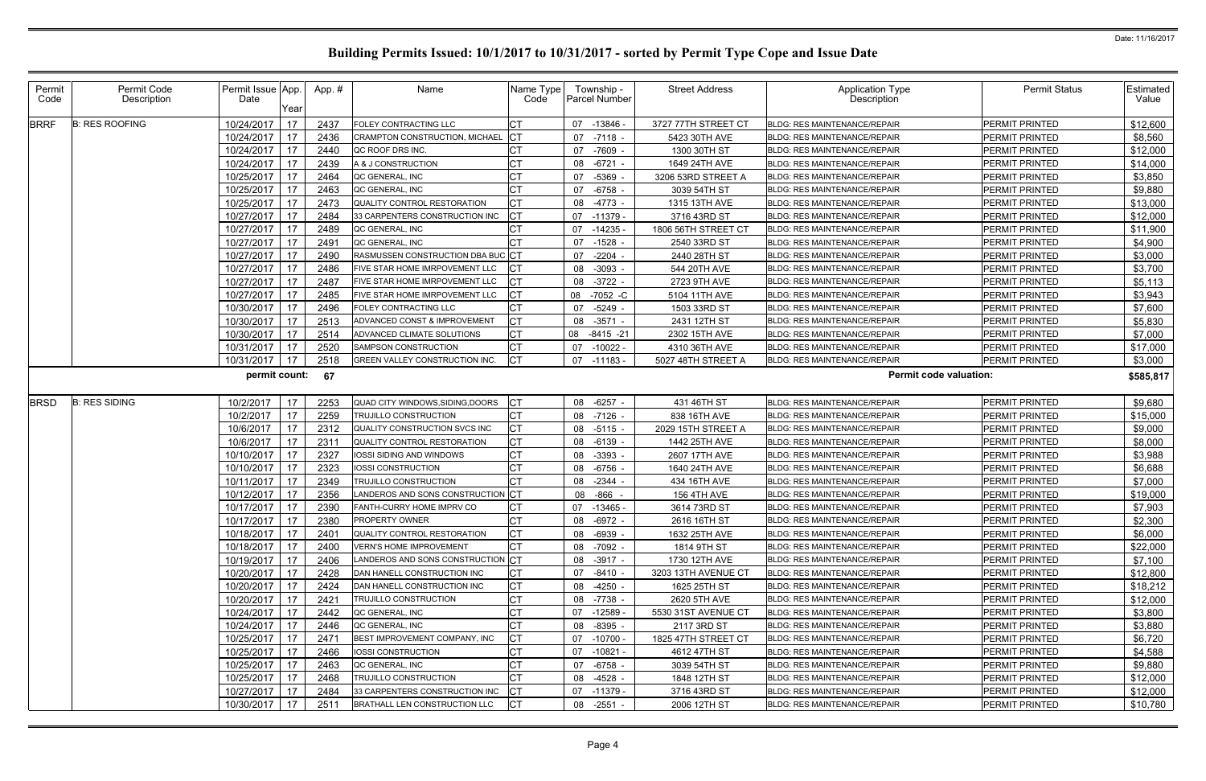| Permit<br>Code | Permit Code<br>Description | Permit Issue App.<br>Date<br>Year | App.# | Name                              | Name Type<br>Code | Township -<br><b>Parcel Number</b> | <b>Street Address</b> | Application Type<br>Description     | <b>Permit Status</b>  | Estimated<br>Value |
|----------------|----------------------------|-----------------------------------|-------|-----------------------------------|-------------------|------------------------------------|-----------------------|-------------------------------------|-----------------------|--------------------|
| <b>BRRF</b>    | <b>B: RES ROOFING</b>      | 17<br>10/24/2017                  | 2437  | <b>FOLEY CONTRACTING LLC</b>      | СT                | 07 -13846 -                        | 3727 77TH STREET CT   | <b>BLDG: RES MAINTENANCE/REPAIR</b> | PERMIT PRINTED        | \$12,600           |
|                |                            | 17<br>10/24/2017                  | 2436  | CRAMPTON CONSTRUCTION, MICHAEL    |                   | 07 -7118 -                         | 5423 30TH AVE         | BLDG: RES MAINTENANCE/REPAIR        | PERMIT PRINTED        | \$8,560            |
|                |                            | 17<br>10/24/2017                  | 2440  | QC ROOF DRS INC.                  |                   | 07 -7609 -                         | 1300 30TH ST          | <b>BLDG: RES MAINTENANCE/REPAIR</b> | <b>PERMIT PRINTED</b> | \$12,000           |
|                |                            | 10/24/2017<br>17                  | 2439  | A & J CONSTRUCTION                |                   | 08 -6721                           | 1649 24TH AVE         | <b>BLDG: RES MAINTENANCE/REPAIR</b> | PERMIT PRINTED        | \$14,000           |
|                |                            | 17<br>10/25/2017                  | 2464  | QC GENERAL, INC                   |                   | 07 -5369                           | 3206 53RD STREET A    | <b>BLDG: RES MAINTENANCE/REPAIR</b> | PERMIT PRINTED        | \$3,850            |
|                |                            | 17<br>10/25/2017                  | 2463  | QC GENERAL, INC                   |                   | $-6758$<br>07                      | 3039 54TH ST          | <b>BLDG: RES MAINTENANCE/REPAIR</b> | PERMIT PRINTED        | \$9,880            |
|                |                            | 17<br>10/25/2017                  | 2473  | QUALITY CONTROL RESTORATION       |                   | 08<br>-4773 -                      | 1315 13TH AVE         | <b>BLDG: RES MAINTENANCE/REPAIR</b> | PERMIT PRINTED        | \$13,000           |
|                |                            | 17<br>10/27/2017                  | 2484  | 33 CARPENTERS CONSTRUCTION INC    |                   | 07 -11379 -                        | 3716 43RD ST          | <b>BLDG: RES MAINTENANCE/REPAIR</b> | PERMIT PRINTED        | \$12,000           |
|                |                            | 17<br>10/27/2017                  | 2489  | QC GENERAL, INC                   | <b>CT</b>         | 07 -14235                          | 1806 56TH STREET CT   | <b>BLDG: RES MAINTENANCE/REPAIR</b> | PERMIT PRINTED        | \$11,900           |
|                |                            | 10/27/2017<br>17                  | 2491  | QC GENERAL, INC                   |                   | 07<br>$-1528$ .                    | 2540 33RD ST          | <b>BLDG: RES MAINTENANCE/REPAIR</b> | PERMIT PRINTED        | \$4,900            |
|                |                            | 17<br>10/27/2017                  | 2490  | RASMUSSEN CONSTRUCTION DBA BUC CT |                   | $-2204$<br>07                      | 2440 28TH ST          | <b>BLDG: RES MAINTENANCE/REPAIR</b> | PERMIT PRINTED        | \$3,000            |
|                |                            | 17<br>10/27/2017                  | 2486  | FIVE STAR HOME IMRPOVEMENT LLC    |                   | 08 - 3093                          | 544 20TH AVE          | <b>BLDG: RES MAINTENANCE/REPAIR</b> | PERMIT PRINTED        | \$3,700            |
|                |                            | 10/27/2017<br>17                  | 2487  | FIVE STAR HOME IMRPOVEMENT LLC    |                   | 08 - 3722 -                        | 2723 9TH AVE          | <b>BLDG: RES MAINTENANCE/REPAIR</b> | PERMIT PRINTED        | \$5,113            |
|                |                            | 17<br>10/27/2017                  | 2485  | FIVE STAR HOME IMRPOVEMENT LLC    |                   | 08<br>-7052 -C                     | 5104 11TH AVE         | <b>BLDG: RES MAINTENANCE/REPAIR</b> | PERMIT PRINTED        | \$3,943            |
|                |                            | 17<br>10/30/2017                  | 2496  | FOLEY CONTRACTING LLC             |                   | $-5249$<br>07                      | 1503 33RD ST          | <b>BLDG: RES MAINTENANCE/REPAIR</b> | PERMIT PRINTED        | \$7,600            |
|                |                            | 17<br>10/30/2017                  | 2513  | ADVANCED CONST & IMPROVEMENT      | <b>CT</b>         | 08 - 3571 -                        | 2431 12TH ST          | <b>BLDG: RES MAINTENANCE/REPAIR</b> | PERMIT PRINTED        | \$5,830            |
|                |                            | 17<br>10/30/2017                  | 2514  | ADVANCED CLIMATE SOLUTIONS        | СT                | 08 -8415 -21                       | 2302 15TH AVE         | <b>BLDG: RES MAINTENANCE/REPAIR</b> | PERMIT PRINTED        | \$7,000            |
|                |                            | 10/31/2017<br>17                  | 2520  | SAMPSON CONSTRUCTION              | <b>CT</b>         | 07 -10022 -                        | 4310 36TH AVE         | <b>BLDG: RES MAINTENANCE/REPAIR</b> | <b>PERMIT PRINTED</b> | \$17,000           |
|                |                            | 17<br>10/31/2017                  | 2518  | GREEN VALLEY CONSTRUCTION INC.    |                   | 07 -11183 -                        | 5027 48TH STREET A    | <b>BLDG: RES MAINTENANCE/REPAIR</b> | PERMIT PRINTED        | \$3,000            |
|                |                            | permit count:                     | 67    |                                   |                   |                                    |                       | <b>Permit code valuation:</b>       |                       | \$585,817          |
| <b>BRSD</b>    | <b>B: RES SIDING</b>       | 10/2/2017<br>17                   | 2253  | QUAD CITY WINDOWS, SIDING, DOORS  | lc⊤               | 08 -6257 -                         | 431 46TH ST           | <b>BLDG: RES MAINTENANCE/REPAIR</b> | PERMIT PRINTED        | \$9,680            |
|                |                            | 17<br>10/2/2017                   | 2259  | <b>TRUJILLO CONSTRUCTION</b>      | <b>CT</b>         | 08 -7126 -                         | 838 16TH AVE          | <b>BLDG: RES MAINTENANCE/REPAIR</b> | PERMIT PRINTED        | \$15,000           |
|                |                            | 10/6/2017<br>17                   | 2312  | QUALITY CONSTRUCTION SVCS INC     |                   | $08 - 5115$                        | 2029 15TH STREET A    | <b>BLDG: RES MAINTENANCE/REPAIR</b> | PERMIT PRINTED        | \$9,000            |
|                |                            | 17<br>10/6/2017                   | 2311  | QUALITY CONTROL RESTORATION       | CT.               | 08 -6139                           | 1442 25TH AVE         | <b>BLDG: RES MAINTENANCE/REPAIR</b> | PERMIT PRINTED        | \$8,000            |
|                |                            | 17<br>10/10/2017                  | 2327  | IOSSI SIDING AND WINDOWS          |                   | 08 - 3393                          | 2607 17TH AVE         | <b>BLDG: RES MAINTENANCE/REPAIR</b> | PERMIT PRINTED        | \$3,988            |
|                |                            | 17<br>10/10/2017                  | 2323  | IOSSI CONSTRUCTION                |                   | -6756<br>08                        | 1640 24TH AVE         | BLDG: RES MAINTENANCE/REPAIR        | PERMIT PRINTED        | \$6,688            |
|                |                            | 17<br>10/11/2017                  | 2349  | <b>TRUJILLO CONSTRUCTION</b>      |                   | 08 -2344 -                         | 434 16TH AVE          | <b>BLDG: RES MAINTENANCE/REPAIR</b> | PERMIT PRINTED        | \$7,000            |
|                |                            | 10/12/2017<br>17                  | 2356  | ANDEROS AND SONS CONSTRUCTION CT  |                   | 08 -866                            | <b>156 4TH AVE</b>    | <b>BLDG: RES MAINTENANCE/REPAIR</b> | PERMIT PRINTED        | \$19,000           |
|                |                            | 17<br>10/17/2017                  | 2390  | FANTH-CURRY HOME IMPRV CO         | <b>CT</b>         | 07 -13465                          | 3614 73RD ST          | <b>BLDG: RES MAINTENANCE/REPAIR</b> | PERMIT PRINTED        | \$7,903            |
|                |                            | $10/17/2017$ 17                   | 2380  | PROPERTY OWNER                    | CT                | 08 -6972 -                         | 2616 16TH ST          | BLDG: RES MAINTENANCE/REPAIR        | PERMIT PRINTED        | \$2,300            |
|                |                            | 17<br>10/18/2017                  | 2401  | QUALITY CONTROL RESTORATION       |                   | 08 -6939 -                         | 1632 25TH AVE         | <b>BLDG: RES MAINTENANCE/REPAIR</b> | PERMIT PRINTED        | \$6,000            |
|                |                            | 10/18/2017<br>17                  | 2400  | <b>VERN'S HOME IMPROVEMENT</b>    | СT                | 08 -7092 -                         | 1814 9TH ST           | <b>BLDG: RES MAINTENANCE/REPAIR</b> | PERMIT PRINTED        | \$22,000           |
|                |                            | 10/19/2017<br>17                  | 2406  | ANDEROS AND SONS CONSTRUCTION CT  |                   | 08 -3917 -                         | 1730 12TH AVE         | <b>BLDG: RES MAINTENANCE/REPAIR</b> | PERMIT PRINTED        | \$7,100            |
|                |                            | 10/20/2017 17                     | 2428  | DAN HANELL CONSTRUCTION INC       | СT                | 07 -8410 -                         | 3203 13TH AVENUE CT   | <b>BLDG: RES MAINTENANCE/REPAIR</b> | PERMIT PRINTED        | \$12,800           |
|                |                            | 10/20/2017<br>17                  | 2424  | DAN HANELL CONSTRUCTION INC       | <b>CT</b>         | 08 -4250 -                         | 1625 25TH ST          | <b>BLDG: RES MAINTENANCE/REPAIR</b> | PERMIT PRINTED        | \$18,212           |
|                |                            | 10/20/2017<br>17                  | 242'  | <b>TRUJILLO CONSTRUCTION</b>      |                   | 08 -7738 -                         | 2620 5TH AVE          | <b>BLDG: RES MAINTENANCE/REPAIR</b> | PERMIT PRINTED        | \$12,000           |
|                |                            | 10/24/2017<br>17                  | 2442  | QC GENERAL, INC                   |                   | 07 -12589 -                        | 5530 31ST AVENUE CT   | <b>BLDG: RES MAINTENANCE/REPAIR</b> | PERMIT PRINTED        | \$3,800            |
|                |                            | 10/24/2017 17                     | 2446  | QC GENERAL, INC                   | <b>CT</b>         | 08 -8395 -                         | 2117 3RD ST           | <b>BLDG: RES MAINTENANCE/REPAIR</b> | PERMIT PRINTED        | \$3,880            |
|                |                            | 10/25/2017<br>17                  | 2471  | BEST IMPROVEMENT COMPANY, INC     | СT                | 07 -10700 -                        | 1825 47TH STREET CT   | <b>BLDG: RES MAINTENANCE/REPAIR</b> | PERMIT PRINTED        | \$6,720            |
|                |                            | 10/25/2017<br>17                  | 2466  | IOSSI CONSTRUCTION                | СT                | 07 -10821 -                        | 4612 47TH ST          | BLDG: RES MAINTENANCE/REPAIR        | PERMIT PRINTED        | \$4,588            |
|                |                            | 10/25/2017<br>17                  | 2463  | QC GENERAL, INC                   |                   | 07 -6758 -                         | 3039 54TH ST          | BLDG: RES MAINTENANCE/REPAIR        | PERMIT PRINTED        | \$9,880            |
|                |                            | 10/25/2017<br>17                  | 2468  | <b>TRUJILLO CONSTRUCTION</b>      |                   | 08 -4528 -                         | 1848 12TH ST          | BLDG: RES MAINTENANCE/REPAIR        | PERMIT PRINTED        | \$12,000           |
|                |                            | 10/27/2017<br>17                  | 2484  | 33 CARPENTERS CONSTRUCTION INC    | IСТ               | 07 -11379 -                        | 3716 43RD ST          | <b>BLDG: RES MAINTENANCE/REPAIR</b> | PERMIT PRINTED        | \$12,000           |
|                |                            | 10/30/2017<br>17                  | 2511  | BRATHALL LEN CONSTRUCTION LLC     | <b>ICT</b>        | 08 -2551 -                         | 2006 12TH ST          | <b>BLDG: RES MAINTENANCE/REPAIR</b> | PERMIT PRINTED        | \$10,780           |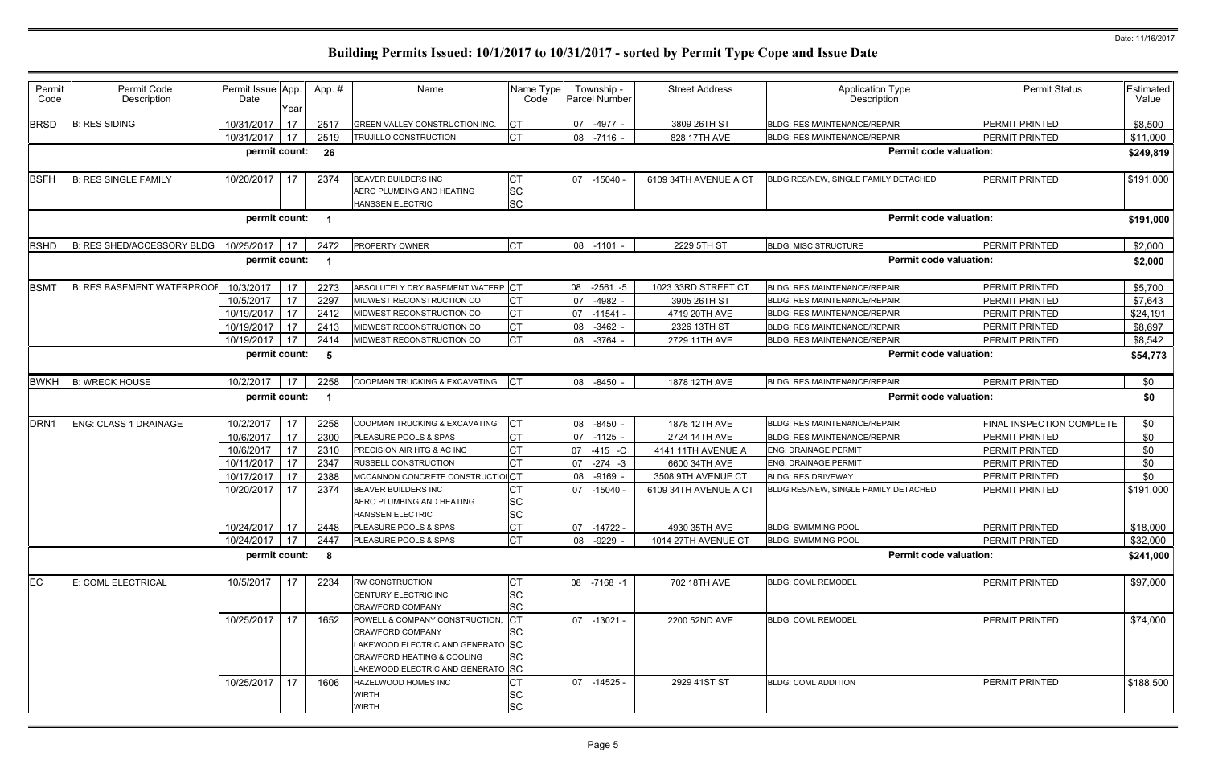| Permit<br>Code   | Permit Code<br>Description              | Permit Issue App.<br>Date | Year | App. #         | Name                                                                                                                                                                     | Name Type<br>Code                   |    | Township -<br>Parcel Number | <b>Street Address</b> | <b>Application Type</b><br>Description | <b>Permit Status</b>      | Estimated<br>Value |
|------------------|-----------------------------------------|---------------------------|------|----------------|--------------------------------------------------------------------------------------------------------------------------------------------------------------------------|-------------------------------------|----|-----------------------------|-----------------------|----------------------------------------|---------------------------|--------------------|
| <b>BRSD</b>      | <b>B: RES SIDING</b>                    | 10/31/2017                | 17   | 2517           | GREEN VALLEY CONSTRUCTION INC.                                                                                                                                           | <b>CT</b>                           |    | 07 -4977 -                  | 3809 26TH ST          | <b>BLDG: RES MAINTENANCE/REPAIR</b>    | PERMIT PRINTED            | \$8,500            |
|                  |                                         | 10/31/2017                | 17   | 2519           | TRUJILLO CONSTRUCTION                                                                                                                                                    | <b>CT</b>                           |    | 08 -7116 -                  | 828 17TH AVE          | <b>BLDG: RES MAINTENANCE/REPAIR</b>    | <b>PERMIT PRINTED</b>     | \$11,000           |
|                  |                                         | permit count:             |      | - 26           |                                                                                                                                                                          |                                     |    |                             |                       | <b>Permit code valuation:</b>          |                           | \$249,819          |
| <b>BSFH</b>      | <b>B: RES SINGLE FAMILY</b>             | 10/20/2017                | 17   | 2374           | BEAVER BUILDERS INC<br>AERO PLUMBING AND HEATING                                                                                                                         | СT<br><b>SC</b>                     |    | 07 -15040 -                 | 6109 34TH AVENUE A CT | BLDG:RES/NEW, SINGLE FAMILY DETACHED   | <b>PERMIT PRINTED</b>     | \$191,000          |
|                  |                                         | permit count:             |      | $\overline{1}$ | HANSSEN ELECTRIC                                                                                                                                                         | <b>SC</b>                           |    |                             |                       | <b>Permit code valuation:</b>          |                           | \$191,000          |
|                  |                                         |                           |      |                |                                                                                                                                                                          |                                     |    |                             |                       |                                        |                           |                    |
| <b>BSHD</b>      | B: RES SHED/ACCESSORY BLDG   10/25/2017 |                           | 17   | 2472           | PROPERTY OWNER                                                                                                                                                           | <b>CT</b>                           |    | 08 -1101                    | 2229 5TH ST           | <b>BLDG: MISC STRUCTURE</b>            | <b>PERMIT PRINTED</b>     | \$2,000            |
|                  |                                         | permit count:             |      | - 1            |                                                                                                                                                                          |                                     |    |                             |                       | <b>Permit code valuation:</b>          |                           | \$2,000            |
| <b>BSMT</b>      | <b>B: RES BASEMENT WATERPROO</b>        | 10/3/2017                 | 17   | 2273           | ABSOLUTELY DRY BASEMENT WATERP CT                                                                                                                                        |                                     |    | 08 -2561 -5                 | 1023 33RD STREET CT   | <b>BLDG: RES MAINTENANCE/REPAIR</b>    | <b>PERMIT PRINTED</b>     | \$5,700            |
|                  |                                         | 10/5/2017                 | 17   | 2297           | MIDWEST RECONSTRUCTION CO                                                                                                                                                | <b>CT</b>                           | 07 | $-4982$ -                   | 3905 26TH ST          | <b>BLDG: RES MAINTENANCE/REPAIR</b>    | PERMIT PRINTED            | \$7,643            |
|                  |                                         | 10/19/2017                | 17   | 2412           | MIDWEST RECONSTRUCTION CO                                                                                                                                                | <b>CT</b>                           | 07 | $-11541$                    | 4719 20TH AVE         | <b>BLDG: RES MAINTENANCE/REPAIR</b>    | PERMIT PRINTED            | \$24,191           |
|                  |                                         | 10/19/2017                | 17   | 2413           | MIDWEST RECONSTRUCTION CO                                                                                                                                                | <b>CT</b>                           | 08 | $-3462 -$                   | 2326 13TH ST          | <b>BLDG: RES MAINTENANCE/REPAIR</b>    | PERMIT PRINTED            | \$8,697            |
|                  |                                         | 10/19/2017                | 17   | 2414           | MIDWEST RECONSTRUCTION CO                                                                                                                                                | <b>CT</b>                           |    | 08 -3764 -                  | 2729 11TH AVE         | <b>BLDG: RES MAINTENANCE/REPAIR</b>    | <b>PERMIT PRINTED</b>     | \$8,542            |
|                  |                                         | permit count:             |      | - 5            |                                                                                                                                                                          |                                     |    |                             |                       | <b>Permit code valuation:</b>          |                           | \$54,773           |
| <b>BWKH</b>      | <b>B: WRECK HOUSE</b>                   | 10/2/2017                 | 17   | 2258           | COOPMAN TRUCKING & EXCAVATING                                                                                                                                            | $ _{\text{CT}}$                     |    | 08 -8450                    | 1878 12TH AVE         | <b>BLDG: RES MAINTENANCE/REPAIR</b>    | <b>PERMIT PRINTED</b>     | \$0                |
|                  |                                         | permit count:             |      | - 1            |                                                                                                                                                                          |                                     |    |                             |                       | <b>Permit code valuation:</b>          |                           | \$0                |
| DRN <sub>1</sub> | <b>ENG: CLASS 1 DRAINAGE</b>            | 10/2/2017                 | 17   | 2258           | COOPMAN TRUCKING & EXCAVATING                                                                                                                                            | <b>CT</b>                           |    | 08 -8450                    | 1878 12TH AVE         | <b>BLDG: RES MAINTENANCE/REPAIR</b>    | FINAL INSPECTION COMPLETE | \$0                |
|                  |                                         | 10/6/2017                 | 17   | 2300           | PLEASURE POOLS & SPAS                                                                                                                                                    | <b>CT</b>                           |    | 07 -1125 -                  | 2724 14TH AVE         | <b>BLDG: RES MAINTENANCE/REPAIR</b>    | PERMIT PRINTED            | \$0                |
|                  |                                         | 10/6/2017                 | 17   | 2310           | PRECISION AIR HTG & AC INC                                                                                                                                               | <b>CT</b>                           | 07 | $-415 - C$                  | 4141 11TH AVENUE A    | <b>ENG: DRAINAGE PERMIT</b>            | PERMIT PRINTED            | \$0                |
|                  |                                         | 10/11/2017                | 17   | 2347           | RUSSELL CONSTRUCTION                                                                                                                                                     | СT                                  | 07 | $-274 - 3$                  | 6600 34TH AVE         | <b>ENG: DRAINAGE PERMIT</b>            | PERMIT PRINTED            | \$0                |
|                  |                                         | 10/17/2017                | 17   | 2388           | MCCANNON CONCRETE CONSTRUCTIOICT                                                                                                                                         |                                     | 08 | -9169                       | 3508 9TH AVENUE CT    | <b>BLDG: RES DRIVEWAY</b>              | <b>PERMIT PRINTED</b>     | \$0                |
|                  |                                         | 10/20/2017                | 17   | 2374           | <b>BEAVER BUILDERS INC</b><br>AERO PLUMBING AND HEATING<br>HANSSEN ELECTRIC                                                                                              | <b>CT</b><br><b>SC</b><br><b>SC</b> | 07 | $-15040$                    | 6109 34TH AVENUE A CT | BLDG:RES/NEW, SINGLE FAMILY DETACHED   | <b>PERMIT PRINTED</b>     | \$191,000          |
|                  |                                         | 10/24/2017 17             |      | 2448           | PLEASURE POOLS & SPAS                                                                                                                                                    | <b>CT</b>                           |    | 07 -14722 -                 | 4930 35TH AVE         | <b>BLDG: SWIMMING POOL</b>             | <b>PERMIT PRINTED</b>     | \$18,000           |
|                  |                                         | 10/24/2017                | 17   | 2447           | PLEASURE POOLS & SPAS                                                                                                                                                    | <b>CT</b>                           |    | 08 -9229 -                  | 1014 27TH AVENUE CT   | <b>BLDG: SWIMMING POOL</b>             | PERMIT PRINTED            | \$32,000           |
|                  |                                         | permit count:             |      | 8              |                                                                                                                                                                          |                                     |    |                             |                       | <b>Permit code valuation:</b>          |                           | \$241,000          |
| EC               | E: COML ELECTRICAL                      | 10/5/2017                 | 17   | 2234           | <b>RW CONSTRUCTION</b>                                                                                                                                                   | СT                                  |    | 08 -7168 -1                 | 702 18TH AVE          | <b>BLDG: COML REMODEL</b>              | PERMIT PRINTED            | \$97,000           |
|                  |                                         |                           |      |                | CENTURY ELECTRIC INC<br>CRAWFORD COMPANY                                                                                                                                 | <b>SC</b><br><b>SC</b>              |    |                             |                       |                                        |                           |                    |
|                  |                                         | 10/25/2017                | 17   | 1652           | POWELL & COMPANY CONSTRUCTION,<br><b>CRAWFORD COMPANY</b><br>LAKEWOOD ELECTRIC AND GENERATO SC<br>CRAWFORD HEATING & COOLING<br><u>LAKEWOOD ELECTRIC AND GENERATO SC</u> | IСТ<br>SC<br><b>SC</b>              |    | $07 - 13021$                | 2200 52ND AVE         | <b>BLDG: COML REMODEL</b>              | <b>PERMIT PRINTED</b>     | \$74,000           |
|                  |                                         | 10/25/2017                | 17   | 1606           | HAZELWOOD HOMES INC<br>WIRTH<br><b>WIRTH</b>                                                                                                                             | <b>CT</b><br>SC<br><b>SC</b>        |    | 07 -14525 -                 | 2929 41ST ST          | <b>BLDG: COML ADDITION</b>             | <b>PERMIT PRINTED</b>     | \$188,500          |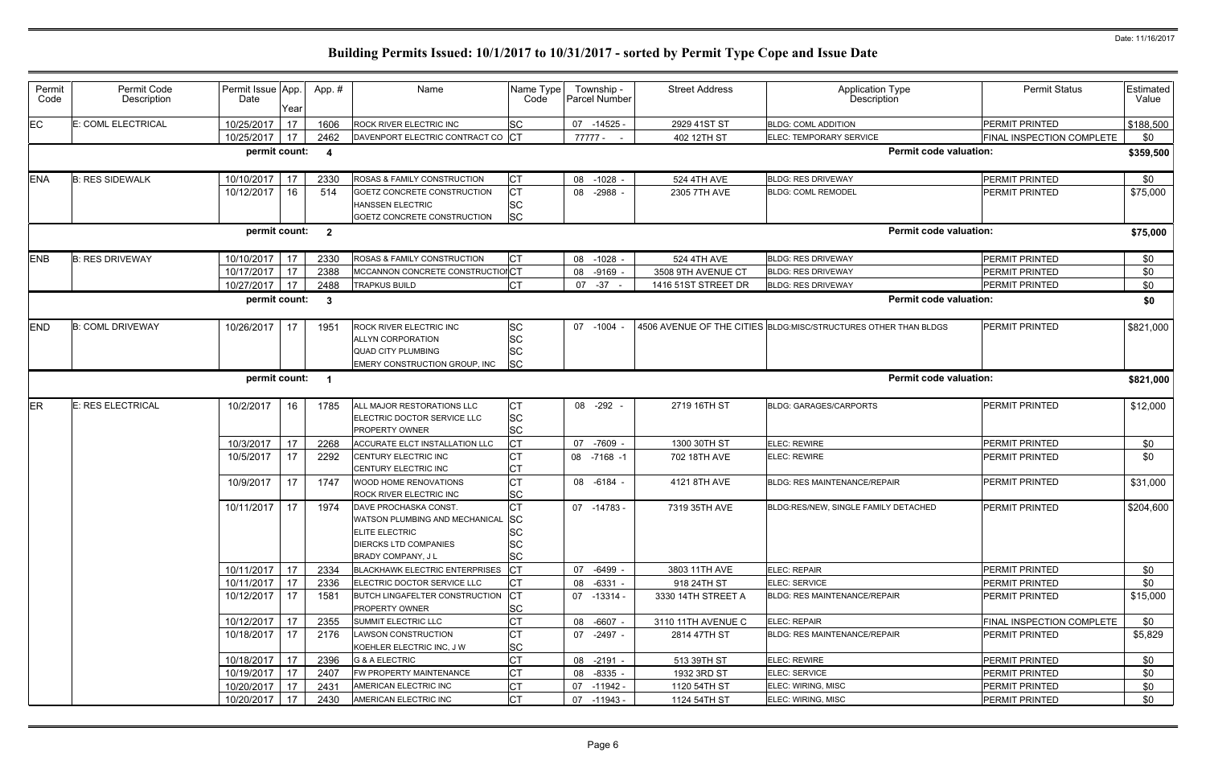| Permit     | Permit Code             | Permit Issue App. |      | App.#                   | Name                                                    | Name Type               | Township -      | <b>Street Address</b> | <b>Application Type</b>                                         | <b>Permit Status</b>      | Estimated |
|------------|-------------------------|-------------------|------|-------------------------|---------------------------------------------------------|-------------------------|-----------------|-----------------------|-----------------------------------------------------------------|---------------------------|-----------|
| Code       | Description             | Date              |      |                         |                                                         | Code                    | Parcel Number   |                       | Description                                                     |                           | Value     |
|            |                         |                   | Year |                         |                                                         |                         |                 |                       |                                                                 |                           |           |
| <b>EC</b>  | E: COML ELECTRICAL      | 10/25/2017        | 17   | 1606                    | ROCK RIVER ELECTRIC INC                                 | <b>SC</b>               | $-14525$<br>07  | 2929 41ST ST          | <b>BLDG: COML ADDITION</b>                                      | PERMIT PRINTED            | \$188,500 |
|            |                         | 10/25/2017        | 17   | 2462                    | DAVENPORT ELECTRIC CONTRACT CO CT                       |                         | 77777 -         | 402 12TH ST           | ELEC: TEMPORARY SERVICE                                         | FINAL INSPECTION COMPLETE | \$0       |
|            |                         | permit count:     |      | - 4                     |                                                         |                         |                 |                       | <b>Permit code valuation:</b>                                   |                           | \$359,500 |
| <b>ENA</b> | <b>B: RES SIDEWALK</b>  | 10/10/2017        | 17   | 2330                    | ROSAS & FAMILY CONSTRUCTION                             | <b>CT</b>               | 08 -1028 -      | 524 4TH AVE           | <b>BLDG: RES DRIVEWAY</b>                                       | <b>PERMIT PRINTED</b>     | \$0       |
|            |                         | 10/12/2017        | 16   | 514                     | GOETZ CONCRETE CONSTRUCTION                             | Iст                     | $-2988 -$<br>08 | 2305 7TH AVE          | <b>BLDG: COML REMODEL</b>                                       | PERMIT PRINTED            | \$75,000  |
|            |                         |                   |      |                         | <b>HANSSEN ELECTRIC</b>                                 | <b>SC</b>               |                 |                       |                                                                 |                           |           |
|            |                         |                   |      |                         | GOETZ CONCRETE CONSTRUCTION                             | <b>SC</b>               |                 |                       |                                                                 |                           |           |
|            |                         | permit count:     |      | $\overline{\mathbf{2}}$ |                                                         |                         |                 |                       | <b>Permit code valuation:</b>                                   |                           | \$75,000  |
| <b>ENB</b> | <b>B: RES DRIVEWAY</b>  | 10/10/2017        | 17   | 2330                    | ROSAS & FAMILY CONSTRUCTION                             | <b>CT</b>               | 08<br>$-1028 -$ | 524 4TH AVE           | <b>BLDG: RES DRIVEWAY</b>                                       | PERMIT PRINTED            | \$0       |
|            |                         | 10/17/2017        | 17   | 2388                    | MCCANNON CONCRETE CONSTRUCTIONCT                        |                         | $-9169 -$<br>08 | 3508 9TH AVENUE CT    | <b>BLDG: RES DRIVEWAY</b>                                       | <b>PERMIT PRINTED</b>     | \$0       |
|            |                         | 10/27/2017        | 17   | 2488                    | TRAPKUS BUILD                                           | <b>CT</b>               | $07 -37 -$      | 1416 51ST STREET DR   | <b>BLDG: RES DRIVEWAY</b>                                       | <b>PERMIT PRINTED</b>     | \$0       |
|            |                         | permit count:     |      | -3                      |                                                         |                         |                 |                       | <b>Permit code valuation:</b>                                   |                           | \$0       |
|            |                         |                   |      |                         |                                                         |                         |                 |                       |                                                                 |                           |           |
| <b>END</b> | <b>B: COML DRIVEWAY</b> | 10/26/2017        | 17   | 1951                    | <b>ROCK RIVER ELECTRIC INC</b>                          | <b>SC</b>               | 07 -1004        |                       | 4506 AVENUE OF THE CITIES BLDG:MISC/STRUCTURES OTHER THAN BLDGS | <b>PERMIT PRINTED</b>     | \$821,000 |
|            |                         |                   |      |                         | <b>ALLYN CORPORATION</b>                                | lsc                     |                 |                       |                                                                 |                           |           |
|            |                         |                   |      |                         | <b>QUAD CITY PLUMBING</b>                               | ΙSC                     |                 |                       |                                                                 |                           |           |
|            |                         |                   |      |                         | EMERY CONSTRUCTION GROUP, INC                           | <b>SC</b>               |                 |                       |                                                                 |                           |           |
|            |                         | permit count:     |      | $\overline{\mathbf{1}}$ |                                                         |                         |                 |                       | <b>Permit code valuation:</b>                                   |                           | \$821,000 |
| <b>ER</b>  | E: RES ELECTRICAL       | 10/2/2017         | 16   | 1785                    | ALL MAJOR RESTORATIONS LLC                              | <b>CT</b>               | 08 -292         | 2719 16TH ST          | <b>BLDG: GARAGES/CARPORTS</b>                                   | PERMIT PRINTED            | \$12,000  |
|            |                         |                   |      |                         | ELECTRIC DOCTOR SERVICE LLC                             | <b>SC</b>               |                 |                       |                                                                 |                           |           |
|            |                         |                   |      |                         | <b>PROPERTY OWNER</b>                                   | <b>SC</b>               |                 |                       |                                                                 |                           |           |
|            |                         | 10/3/2017         | 17   | 2268                    | ACCURATE ELCT INSTALLATION LLC                          | СT                      | $-7609 -$<br>07 | 1300 30TH ST          | ELEC: REWIRE                                                    | <b>PERMIT PRINTED</b>     | \$0       |
|            |                         | 10/5/2017         | 17   | 2292                    | CENTURY ELECTRIC INC                                    | СT                      | 08 -7168 -1     | 702 18TH AVE          | <b>ELEC: REWIRE</b>                                             | PERMIT PRINTED            | \$0       |
|            |                         |                   |      |                         | <b>CENTURY ELECTRIC INC</b>                             |                         |                 |                       |                                                                 |                           |           |
|            |                         | 10/9/2017         | 17   | 1747                    | WOOD HOME RENOVATIONS                                   | <b>CT</b>               | 08 -6184 -      | 4121 8TH AVE          | <b>BLDG: RES MAINTENANCE/REPAIR</b>                             | <b>PERMIT PRINTED</b>     | \$31,000  |
|            |                         |                   |      |                         | ROCK RIVER ELECTRIC INC                                 | <b>SC</b>               |                 |                       |                                                                 |                           |           |
|            |                         | 10/11/2017        | 17   | 1974                    | DAVE PROCHASKA CONST.                                   | <b>CT</b>               | 07 -14783       | 7319 35TH AVE         | BLDG:RES/NEW, SINGLE FAMILY DETACHED                            | PERMIT PRINTED            | \$204,600 |
|            |                         |                   |      |                         | WATSON PLUMBING AND MECHANICAL SC                       |                         |                 |                       |                                                                 |                           |           |
|            |                         |                   |      |                         | <b>ELITE ELECTRIC</b>                                   | <b>SC</b>               |                 |                       |                                                                 |                           |           |
|            |                         |                   |      |                         | <b>DIERCKS LTD COMPANIES</b>                            | <b>SC</b>               |                 |                       |                                                                 |                           |           |
|            |                         |                   |      |                         | <b>BRADY COMPANY, JL</b>                                | <b>SC</b>               |                 |                       |                                                                 |                           |           |
|            |                         | 10/11/2017        | 17   | 2334                    | <b>BLACKHAWK ELECTRIC ENTERPRISES</b>                   | Iст                     | $-6499 -$<br>07 | 3803 11TH AVE         | ELEC: REPAIR                                                    | PERMIT PRINTED            | \$0       |
|            |                         | 10/11/2017        | 17   | 2336                    | ELECTRIC DOCTOR SERVICE LLC                             | СT                      | 08 -6331 -      | 918 24TH ST           | ELEC: SERVICE                                                   | PERMIT PRINTED            | \$0       |
|            |                         | 10/12/2017        | 17   | 1581                    | BUTCH LINGAFELTER CONSTRUCTION<br><b>PROPERTY OWNER</b> | <b>ICT</b><br><b>SC</b> | 07 -13314 -     | 3330 14TH STREET A    | BLDG: RES MAINTENANCE/REPAIR                                    | <b>PERMIT PRINTED</b>     | \$15,000  |
|            |                         | 10/12/2017        | 17   | 2355                    | SUMMIT ELECTRIC LLC                                     |                         | 08 -6607 -      | 3110 11TH AVENUE C    | <b>ELEC: REPAIR</b>                                             | FINAL INSPECTION COMPLETE | \$0       |
|            |                         | 10/18/2017        | 17   | 2176                    | LAWSON CONSTRUCTION                                     | IСТ                     | 07 -2497 -      | 2814 47TH ST          | <b>BLDG: RES MAINTENANCE/REPAIR</b>                             | <b>PERMIT PRINTED</b>     | \$5,829   |
|            |                         |                   |      |                         | KOEHLER ELECTRIC INC, JW                                | SC                      |                 |                       |                                                                 |                           |           |
|            |                         | 10/18/2017        | 17   | 2396                    | G & A ELECTRIC                                          | <b>CT</b>               | 08 -2191 -      | 513 39TH ST           | <b>ELEC: REWIRE</b>                                             | PERMIT PRINTED            | \$0       |
|            |                         | 10/19/2017        | 17   | 2407                    | FW PROPERTY MAINTENANCE                                 | СT                      | 08<br>-8335 -   | 1932 3RD ST           | ELEC: SERVICE                                                   | PERMIT PRINTED            | \$0       |
|            |                         | 10/20/2017        | 17   | 2431                    | AMERICAN ELECTRIC INC                                   | СT                      | -11942 -<br>07  | 1120 54TH ST          | ELEC: WIRING, MISC                                              | PERMIT PRINTED            | \$0       |
|            |                         | 10/20/2017        | 17   | 2430                    | AMERICAN ELECTRIC INC                                   | Iст                     | 07 -11943 -     | 1124 54TH ST          | ELEC: WIRING, MISC                                              | PERMIT PRINTED            | \$0       |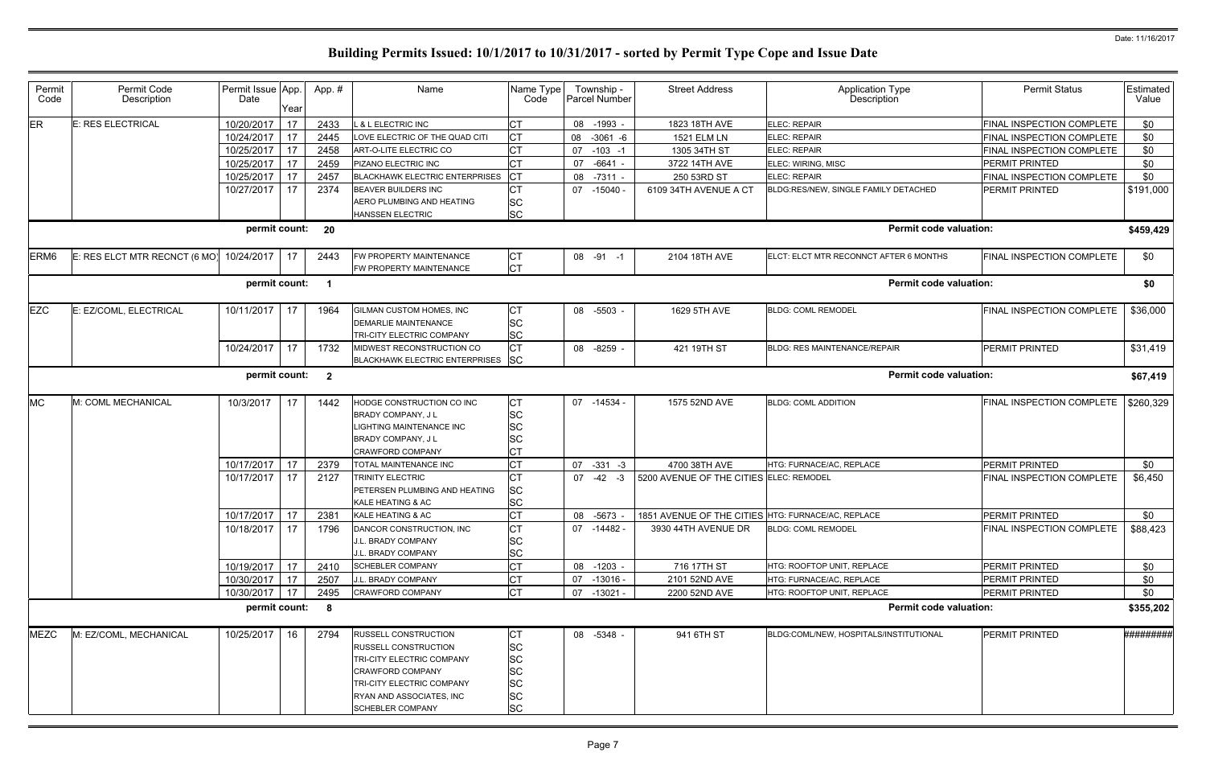| <b>ER</b><br><b>E: RES ELECTRICAL</b><br>10/20/2017<br>17<br>L & L ELECTRIC INC<br><b>CT</b><br>08<br>$-1993 -$<br>1823 18TH AVE<br><b>FINAL INSPECTION COMPLETE</b><br>2433<br><b>ELEC: REPAIR</b><br>17<br>LOVE ELECTRIC OF THE QUAD CITI<br>СT<br>$-3061 - 6$<br>ELEC: REPAIR<br>10/24/2017<br>2445<br>08<br><b>1521 ELM LN</b><br><b>FINAL INSPECTION COMPLETE</b><br>17<br>10/25/2017<br><b>CT</b><br>2458<br>07<br>$-103 - 1$<br><b>ELEC: REPAIR</b><br>ART-O-LITE ELECTRIC CO<br>1305 34TH ST<br><b>FINAL INSPECTION COMPLETE</b><br>10/25/2017<br>17<br><b>CT</b><br>$-6641$<br><b>PERMIT PRINTED</b><br>2459<br>07<br>PIZANO ELECTRIC INC<br>3722 14TH AVE<br>ELEC: WIRING, MISC<br>17<br>СT<br>10/25/2017<br><b>BLACKHAWK ELECTRIC ENTERPRISES</b><br><b>ELEC: REPAIR</b><br><b>FINAL INSPECTION COMPLETE</b><br>2457<br>08<br>$-7311 -$<br>250 53RD ST<br>17<br><b>CT</b><br>10/27/2017<br>PERMIT PRINTED<br>2374<br>BEAVER BUILDERS INC<br>07 -15040 -<br>6109 34TH AVENUE A CT<br>BLDG:RES/NEW, SINGLE FAMILY DETACHED<br>SC<br>AERO PLUMBING AND HEATING<br>SC<br>HANSSEN ELECTRIC<br>permit count:<br><b>Permit code valuation:</b><br>20<br>E: RES ELCT MTR RECNCT (6 MO)<br>FW PROPERTY MAINTENANCE<br>FINAL INSPECTION COMPLETE<br>ERM <sub>6</sub><br>10/24/2017<br>17<br>2104 18TH AVE<br>ELCT: ELCT MTR RECONNCT AFTER 6 MONTHS<br>2443<br>08 -91 -1<br>CТ<br><b>CT</b><br>FW PROPERTY MAINTENANCE<br><b>Permit code valuation:</b><br>permit count:<br>$\blacksquare$<br><b>EZC</b><br>E: EZ/COML, ELECTRICAL<br>10/11/2017<br>17<br>1964<br>GILMAN CUSTOM HOMES, INC<br>СT<br><b>BLDG: COML REMODEL</b><br><b>FINAL INSPECTION COMPLETE</b><br>08 -5503 -<br>1629 5TH AVE<br><b>DEMARLIE MAINTENANCE</b><br>SC<br>SC<br>TRI-CITY ELECTRIC COMPANY<br><b>CT</b><br>10/24/2017<br>17<br>1732<br>MIDWEST RECONSTRUCTION CO<br>08 -8259 -<br>421 19TH ST<br><b>BLDG: RES MAINTENANCE/REPAIR</b><br><b>PERMIT PRINTED</b><br>BLACKHAWK ELECTRIC ENTERPRISES SC<br><b>Permit code valuation:</b><br>permit count:<br>$\overline{\mathbf{2}}$<br><b>MC</b><br>M: COML MECHANICAL<br>10/3/2017<br>HODGE CONSTRUCTION CO INC<br>СT<br>07 -14534 -<br>1575 52ND AVE<br><b>BLDG: COML ADDITION</b><br>FINAL INSPECTION COMPLETE<br>17<br>1442 | \$0<br>\$0<br>\$0<br>\$0<br>\$0<br>\$191,000 |
|-----------------------------------------------------------------------------------------------------------------------------------------------------------------------------------------------------------------------------------------------------------------------------------------------------------------------------------------------------------------------------------------------------------------------------------------------------------------------------------------------------------------------------------------------------------------------------------------------------------------------------------------------------------------------------------------------------------------------------------------------------------------------------------------------------------------------------------------------------------------------------------------------------------------------------------------------------------------------------------------------------------------------------------------------------------------------------------------------------------------------------------------------------------------------------------------------------------------------------------------------------------------------------------------------------------------------------------------------------------------------------------------------------------------------------------------------------------------------------------------------------------------------------------------------------------------------------------------------------------------------------------------------------------------------------------------------------------------------------------------------------------------------------------------------------------------------------------------------------------------------------------------------------------------------------------------------------------------------------------------------------------------------------------------------------------------------------------------------------------------------------------------------------------------------------------------------------------------------------------------------------------|----------------------------------------------|
|                                                                                                                                                                                                                                                                                                                                                                                                                                                                                                                                                                                                                                                                                                                                                                                                                                                                                                                                                                                                                                                                                                                                                                                                                                                                                                                                                                                                                                                                                                                                                                                                                                                                                                                                                                                                                                                                                                                                                                                                                                                                                                                                                                                                                                                           |                                              |
|                                                                                                                                                                                                                                                                                                                                                                                                                                                                                                                                                                                                                                                                                                                                                                                                                                                                                                                                                                                                                                                                                                                                                                                                                                                                                                                                                                                                                                                                                                                                                                                                                                                                                                                                                                                                                                                                                                                                                                                                                                                                                                                                                                                                                                                           |                                              |
|                                                                                                                                                                                                                                                                                                                                                                                                                                                                                                                                                                                                                                                                                                                                                                                                                                                                                                                                                                                                                                                                                                                                                                                                                                                                                                                                                                                                                                                                                                                                                                                                                                                                                                                                                                                                                                                                                                                                                                                                                                                                                                                                                                                                                                                           |                                              |
|                                                                                                                                                                                                                                                                                                                                                                                                                                                                                                                                                                                                                                                                                                                                                                                                                                                                                                                                                                                                                                                                                                                                                                                                                                                                                                                                                                                                                                                                                                                                                                                                                                                                                                                                                                                                                                                                                                                                                                                                                                                                                                                                                                                                                                                           |                                              |
|                                                                                                                                                                                                                                                                                                                                                                                                                                                                                                                                                                                                                                                                                                                                                                                                                                                                                                                                                                                                                                                                                                                                                                                                                                                                                                                                                                                                                                                                                                                                                                                                                                                                                                                                                                                                                                                                                                                                                                                                                                                                                                                                                                                                                                                           |                                              |
|                                                                                                                                                                                                                                                                                                                                                                                                                                                                                                                                                                                                                                                                                                                                                                                                                                                                                                                                                                                                                                                                                                                                                                                                                                                                                                                                                                                                                                                                                                                                                                                                                                                                                                                                                                                                                                                                                                                                                                                                                                                                                                                                                                                                                                                           |                                              |
|                                                                                                                                                                                                                                                                                                                                                                                                                                                                                                                                                                                                                                                                                                                                                                                                                                                                                                                                                                                                                                                                                                                                                                                                                                                                                                                                                                                                                                                                                                                                                                                                                                                                                                                                                                                                                                                                                                                                                                                                                                                                                                                                                                                                                                                           |                                              |
|                                                                                                                                                                                                                                                                                                                                                                                                                                                                                                                                                                                                                                                                                                                                                                                                                                                                                                                                                                                                                                                                                                                                                                                                                                                                                                                                                                                                                                                                                                                                                                                                                                                                                                                                                                                                                                                                                                                                                                                                                                                                                                                                                                                                                                                           |                                              |
|                                                                                                                                                                                                                                                                                                                                                                                                                                                                                                                                                                                                                                                                                                                                                                                                                                                                                                                                                                                                                                                                                                                                                                                                                                                                                                                                                                                                                                                                                                                                                                                                                                                                                                                                                                                                                                                                                                                                                                                                                                                                                                                                                                                                                                                           | \$459,429                                    |
|                                                                                                                                                                                                                                                                                                                                                                                                                                                                                                                                                                                                                                                                                                                                                                                                                                                                                                                                                                                                                                                                                                                                                                                                                                                                                                                                                                                                                                                                                                                                                                                                                                                                                                                                                                                                                                                                                                                                                                                                                                                                                                                                                                                                                                                           | \$0                                          |
|                                                                                                                                                                                                                                                                                                                                                                                                                                                                                                                                                                                                                                                                                                                                                                                                                                                                                                                                                                                                                                                                                                                                                                                                                                                                                                                                                                                                                                                                                                                                                                                                                                                                                                                                                                                                                                                                                                                                                                                                                                                                                                                                                                                                                                                           | \$0                                          |
|                                                                                                                                                                                                                                                                                                                                                                                                                                                                                                                                                                                                                                                                                                                                                                                                                                                                                                                                                                                                                                                                                                                                                                                                                                                                                                                                                                                                                                                                                                                                                                                                                                                                                                                                                                                                                                                                                                                                                                                                                                                                                                                                                                                                                                                           | \$36,000                                     |
|                                                                                                                                                                                                                                                                                                                                                                                                                                                                                                                                                                                                                                                                                                                                                                                                                                                                                                                                                                                                                                                                                                                                                                                                                                                                                                                                                                                                                                                                                                                                                                                                                                                                                                                                                                                                                                                                                                                                                                                                                                                                                                                                                                                                                                                           |                                              |
|                                                                                                                                                                                                                                                                                                                                                                                                                                                                                                                                                                                                                                                                                                                                                                                                                                                                                                                                                                                                                                                                                                                                                                                                                                                                                                                                                                                                                                                                                                                                                                                                                                                                                                                                                                                                                                                                                                                                                                                                                                                                                                                                                                                                                                                           |                                              |
|                                                                                                                                                                                                                                                                                                                                                                                                                                                                                                                                                                                                                                                                                                                                                                                                                                                                                                                                                                                                                                                                                                                                                                                                                                                                                                                                                                                                                                                                                                                                                                                                                                                                                                                                                                                                                                                                                                                                                                                                                                                                                                                                                                                                                                                           | \$31,419                                     |
|                                                                                                                                                                                                                                                                                                                                                                                                                                                                                                                                                                                                                                                                                                                                                                                                                                                                                                                                                                                                                                                                                                                                                                                                                                                                                                                                                                                                                                                                                                                                                                                                                                                                                                                                                                                                                                                                                                                                                                                                                                                                                                                                                                                                                                                           |                                              |
|                                                                                                                                                                                                                                                                                                                                                                                                                                                                                                                                                                                                                                                                                                                                                                                                                                                                                                                                                                                                                                                                                                                                                                                                                                                                                                                                                                                                                                                                                                                                                                                                                                                                                                                                                                                                                                                                                                                                                                                                                                                                                                                                                                                                                                                           | \$67,419                                     |
|                                                                                                                                                                                                                                                                                                                                                                                                                                                                                                                                                                                                                                                                                                                                                                                                                                                                                                                                                                                                                                                                                                                                                                                                                                                                                                                                                                                                                                                                                                                                                                                                                                                                                                                                                                                                                                                                                                                                                                                                                                                                                                                                                                                                                                                           | \$260,329                                    |
| SC<br>BRADY COMPANY, J L                                                                                                                                                                                                                                                                                                                                                                                                                                                                                                                                                                                                                                                                                                                                                                                                                                                                                                                                                                                                                                                                                                                                                                                                                                                                                                                                                                                                                                                                                                                                                                                                                                                                                                                                                                                                                                                                                                                                                                                                                                                                                                                                                                                                                                  |                                              |
| SC<br>LIGHTING MAINTENANCE INC                                                                                                                                                                                                                                                                                                                                                                                                                                                                                                                                                                                                                                                                                                                                                                                                                                                                                                                                                                                                                                                                                                                                                                                                                                                                                                                                                                                                                                                                                                                                                                                                                                                                                                                                                                                                                                                                                                                                                                                                                                                                                                                                                                                                                            |                                              |
| SC<br>BRADY COMPANY, J L                                                                                                                                                                                                                                                                                                                                                                                                                                                                                                                                                                                                                                                                                                                                                                                                                                                                                                                                                                                                                                                                                                                                                                                                                                                                                                                                                                                                                                                                                                                                                                                                                                                                                                                                                                                                                                                                                                                                                                                                                                                                                                                                                                                                                                  |                                              |
| <b>CRAWFORD COMPANY</b>                                                                                                                                                                                                                                                                                                                                                                                                                                                                                                                                                                                                                                                                                                                                                                                                                                                                                                                                                                                                                                                                                                                                                                                                                                                                                                                                                                                                                                                                                                                                                                                                                                                                                                                                                                                                                                                                                                                                                                                                                                                                                                                                                                                                                                   |                                              |
| 10/17/2017<br>17<br><b>CT</b><br>2379<br>TOTAL MAINTENANCE INC<br>$07 - 331 - 3$<br>4700 38TH AVE<br>HTG: FURNACE/AC, REPLACE<br><b>PERMIT PRINTED</b>                                                                                                                                                                                                                                                                                                                                                                                                                                                                                                                                                                                                                                                                                                                                                                                                                                                                                                                                                                                                                                                                                                                                                                                                                                                                                                                                                                                                                                                                                                                                                                                                                                                                                                                                                                                                                                                                                                                                                                                                                                                                                                    | \$0                                          |
| 17<br>10/17/2017<br>5200 AVENUE OF THE CITIES ELEC: REMODEL<br>FINAL INSPECTION COMPLETE<br>2127<br><b>TRINITY ELECTRIC</b><br>07<br>$-42 - 3$                                                                                                                                                                                                                                                                                                                                                                                                                                                                                                                                                                                                                                                                                                                                                                                                                                                                                                                                                                                                                                                                                                                                                                                                                                                                                                                                                                                                                                                                                                                                                                                                                                                                                                                                                                                                                                                                                                                                                                                                                                                                                                            | \$6,450                                      |
| SC<br>PETERSEN PLUMBING AND HEATING                                                                                                                                                                                                                                                                                                                                                                                                                                                                                                                                                                                                                                                                                                                                                                                                                                                                                                                                                                                                                                                                                                                                                                                                                                                                                                                                                                                                                                                                                                                                                                                                                                                                                                                                                                                                                                                                                                                                                                                                                                                                                                                                                                                                                       |                                              |
| SC<br>KALE HEATING & AC                                                                                                                                                                                                                                                                                                                                                                                                                                                                                                                                                                                                                                                                                                                                                                                                                                                                                                                                                                                                                                                                                                                                                                                                                                                                                                                                                                                                                                                                                                                                                                                                                                                                                                                                                                                                                                                                                                                                                                                                                                                                                                                                                                                                                                   |                                              |
| 10/17/2017<br>СT<br>17<br>1851 AVENUE OF THE CITIES HTG: FURNACE/AC, REPLACE<br><b>PERMIT PRINTED</b><br>2381<br>KALE HEATING & AC<br>08 -5673 -                                                                                                                                                                                                                                                                                                                                                                                                                                                                                                                                                                                                                                                                                                                                                                                                                                                                                                                                                                                                                                                                                                                                                                                                                                                                                                                                                                                                                                                                                                                                                                                                                                                                                                                                                                                                                                                                                                                                                                                                                                                                                                          | \$0                                          |
| 17<br><b>CT</b><br>10/18/2017<br>DANCOR CONSTRUCTION, INC<br>07 -14482 -<br><b>BLDG: COML REMODEL</b><br>FINAL INSPECTION COMPLETE<br>1796<br>3930 44TH AVENUE DR                                                                                                                                                                                                                                                                                                                                                                                                                                                                                                                                                                                                                                                                                                                                                                                                                                                                                                                                                                                                                                                                                                                                                                                                                                                                                                                                                                                                                                                                                                                                                                                                                                                                                                                                                                                                                                                                                                                                                                                                                                                                                         | \$88,423                                     |
| SC<br>J.L. BRADY COMPANY                                                                                                                                                                                                                                                                                                                                                                                                                                                                                                                                                                                                                                                                                                                                                                                                                                                                                                                                                                                                                                                                                                                                                                                                                                                                                                                                                                                                                                                                                                                                                                                                                                                                                                                                                                                                                                                                                                                                                                                                                                                                                                                                                                                                                                  |                                              |
| SC<br>J.L. BRADY COMPANY                                                                                                                                                                                                                                                                                                                                                                                                                                                                                                                                                                                                                                                                                                                                                                                                                                                                                                                                                                                                                                                                                                                                                                                                                                                                                                                                                                                                                                                                                                                                                                                                                                                                                                                                                                                                                                                                                                                                                                                                                                                                                                                                                                                                                                  |                                              |
| 10/19/2017 17<br>08 -1203 -<br>716 17TH ST<br><b>PERMIT PRINTED</b><br>2410<br>HTG: ROOFTOP UNIT, REPLACE<br><b>SCHEBLER COMPANY</b>                                                                                                                                                                                                                                                                                                                                                                                                                                                                                                                                                                                                                                                                                                                                                                                                                                                                                                                                                                                                                                                                                                                                                                                                                                                                                                                                                                                                                                                                                                                                                                                                                                                                                                                                                                                                                                                                                                                                                                                                                                                                                                                      | \$0                                          |
| 17<br>10/30/2017<br>2507<br>СT<br>J.L. BRADY COMPANY<br>07 -13016 -<br>HTG: FURNACE/AC, REPLACE<br>PERMIT PRINTED<br>2101 52ND AVE                                                                                                                                                                                                                                                                                                                                                                                                                                                                                                                                                                                                                                                                                                                                                                                                                                                                                                                                                                                                                                                                                                                                                                                                                                                                                                                                                                                                                                                                                                                                                                                                                                                                                                                                                                                                                                                                                                                                                                                                                                                                                                                        | \$0                                          |
| <b>CT</b><br>17<br>10/30/2017<br>2495<br>07 -13021 -<br>2200 52ND AVE<br><b>PERMIT PRINTED</b><br><b>CRAWFORD COMPANY</b><br>HTG: ROOFTOP UNIT, REPLACE                                                                                                                                                                                                                                                                                                                                                                                                                                                                                                                                                                                                                                                                                                                                                                                                                                                                                                                                                                                                                                                                                                                                                                                                                                                                                                                                                                                                                                                                                                                                                                                                                                                                                                                                                                                                                                                                                                                                                                                                                                                                                                   | \$0                                          |
| <b>Permit code valuation:</b><br>permit count:<br>8                                                                                                                                                                                                                                                                                                                                                                                                                                                                                                                                                                                                                                                                                                                                                                                                                                                                                                                                                                                                                                                                                                                                                                                                                                                                                                                                                                                                                                                                                                                                                                                                                                                                                                                                                                                                                                                                                                                                                                                                                                                                                                                                                                                                       | \$355,202                                    |
| <b>MEZC</b><br>M: EZ/COML, MECHANICAL<br>10/25/2017<br>941 6TH ST<br>PERMIT PRINTED<br>16<br>2794<br>RUSSELL CONSTRUCTION<br>08 -5348 -<br>BLDG:COML/NEW, HOSPITALS/INSTITUTIONAL<br>CТ                                                                                                                                                                                                                                                                                                                                                                                                                                                                                                                                                                                                                                                                                                                                                                                                                                                                                                                                                                                                                                                                                                                                                                                                                                                                                                                                                                                                                                                                                                                                                                                                                                                                                                                                                                                                                                                                                                                                                                                                                                                                   | #########                                    |
| SC<br><b>RUSSELL CONSTRUCTION</b>                                                                                                                                                                                                                                                                                                                                                                                                                                                                                                                                                                                                                                                                                                                                                                                                                                                                                                                                                                                                                                                                                                                                                                                                                                                                                                                                                                                                                                                                                                                                                                                                                                                                                                                                                                                                                                                                                                                                                                                                                                                                                                                                                                                                                         |                                              |
| SC<br>TRI-CITY ELECTRIC COMPANY                                                                                                                                                                                                                                                                                                                                                                                                                                                                                                                                                                                                                                                                                                                                                                                                                                                                                                                                                                                                                                                                                                                                                                                                                                                                                                                                                                                                                                                                                                                                                                                                                                                                                                                                                                                                                                                                                                                                                                                                                                                                                                                                                                                                                           |                                              |
| SC<br><b>CRAWFORD COMPANY</b>                                                                                                                                                                                                                                                                                                                                                                                                                                                                                                                                                                                                                                                                                                                                                                                                                                                                                                                                                                                                                                                                                                                                                                                                                                                                                                                                                                                                                                                                                                                                                                                                                                                                                                                                                                                                                                                                                                                                                                                                                                                                                                                                                                                                                             |                                              |
| SC<br>TRI-CITY ELECTRIC COMPANY                                                                                                                                                                                                                                                                                                                                                                                                                                                                                                                                                                                                                                                                                                                                                                                                                                                                                                                                                                                                                                                                                                                                                                                                                                                                                                                                                                                                                                                                                                                                                                                                                                                                                                                                                                                                                                                                                                                                                                                                                                                                                                                                                                                                                           |                                              |
| SC<br>RYAN AND ASSOCIATES, INC                                                                                                                                                                                                                                                                                                                                                                                                                                                                                                                                                                                                                                                                                                                                                                                                                                                                                                                                                                                                                                                                                                                                                                                                                                                                                                                                                                                                                                                                                                                                                                                                                                                                                                                                                                                                                                                                                                                                                                                                                                                                                                                                                                                                                            |                                              |
| <b>SC</b><br><b>SCHEBLER COMPANY</b>                                                                                                                                                                                                                                                                                                                                                                                                                                                                                                                                                                                                                                                                                                                                                                                                                                                                                                                                                                                                                                                                                                                                                                                                                                                                                                                                                                                                                                                                                                                                                                                                                                                                                                                                                                                                                                                                                                                                                                                                                                                                                                                                                                                                                      |                                              |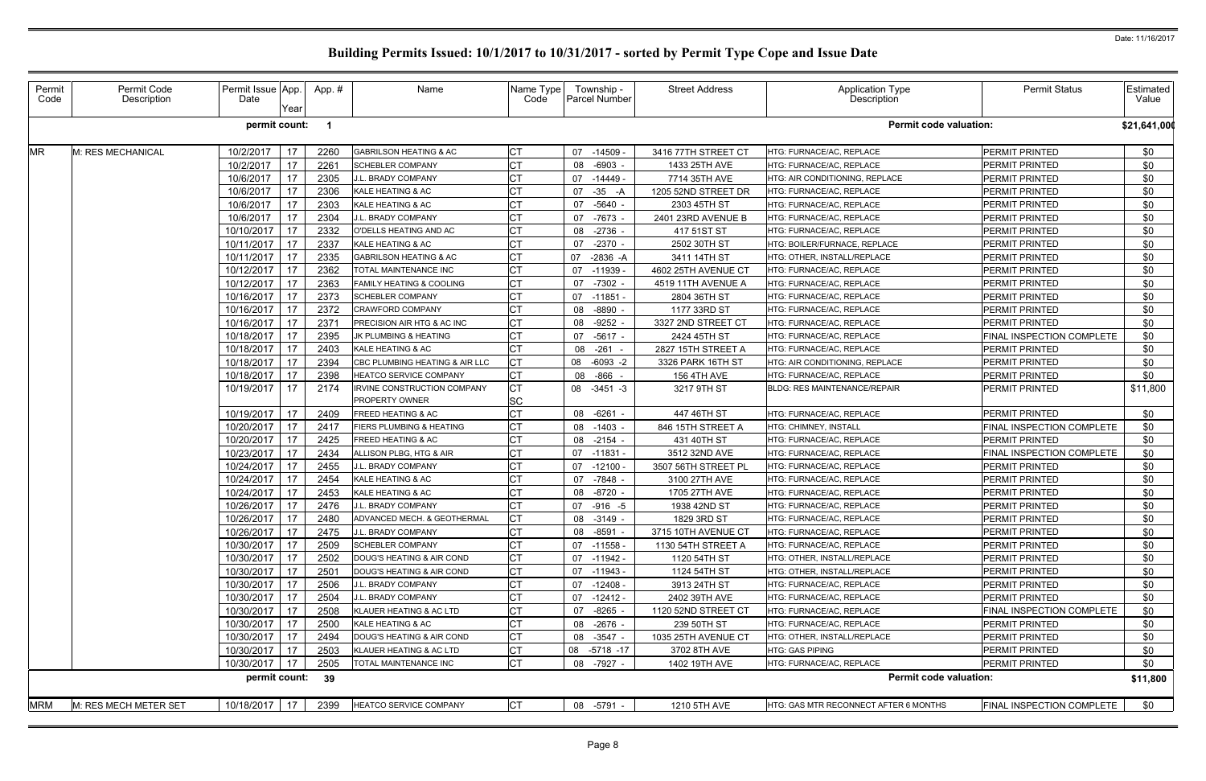| Permit<br>Code | Permit Code<br>Description | Permit Issue App.<br>Date | Year | App.# | Name                                          | Name Type<br>Code | Township -<br><b>Parcel Number</b> | <b>Street Address</b> | <b>Application Type</b><br>Description | <b>Permit Status</b>      | Estimated<br>Value |
|----------------|----------------------------|---------------------------|------|-------|-----------------------------------------------|-------------------|------------------------------------|-----------------------|----------------------------------------|---------------------------|--------------------|
|                |                            | permit count:             |      |       |                                               |                   |                                    |                       | <b>Permit code valuation:</b>          |                           | \$21,641,000       |
| <b>MR</b>      | M: RES MECHANICAL          | 10/2/2017                 | 17   | 2260  | <b>GABRILSON HEATING &amp; AC</b>             | CТ                | 07 -14509                          | 3416 77TH STREET CT   | HTG: FURNACE/AC, REPLACE               | PERMIT PRINTED            | \$0                |
|                |                            | 10/2/2017                 | 17   | 2261  | <b>SCHEBLER COMPANY</b>                       | <b>CT</b>         | $-6903 -$<br>08                    | 1433 25TH AVE         | HTG: FURNACE/AC, REPLACE               | PERMIT PRINTED            | \$0                |
|                |                            | 10/6/2017                 | 17   | 2305  | J.L. BRADY COMPANY                            |                   | 07<br>-14449 -                     | 7714 35TH AVE         | HTG: AIR CONDITIONING, REPLACE         | PERMIT PRINTED            | \$0                |
|                |                            | 10/6/2017                 | 17   | 2306  | KALE HEATING & AC                             |                   | $-35 - A$<br>07                    | 1205 52ND STREET DR   | HTG: FURNACE/AC, REPLACE               | <b>PERMIT PRINTED</b>     | \$0                |
|                |                            | 10/6/2017                 | 17   | 2303  | KALE HEATING & AC                             |                   | 07<br>-5640 -                      | 2303 45TH ST          | HTG: FURNACE/AC, REPLACE               | PERMIT PRINTED            | \$0                |
|                |                            | 10/6/2017                 | 17   | 2304  | J.L. BRADY COMPANY                            | C1                | -7673<br>07                        | 2401 23RD AVENUE B    | HTG: FURNACE/AC, REPLACE               | PERMIT PRINTED            | \$0                |
|                |                            | 10/10/2017                | 17   | 2332  | O'DELLS HEATING AND AC                        |                   | $-2736 -$<br>08                    | 417 51ST ST           | HTG: FURNACE/AC, REPLACE               | <b>PERMIT PRINTED</b>     | \$0                |
|                |                            | 10/11/2017                | 17   | 2337  | KALE HEATING & AC                             |                   | 07<br>$-2370 -$                    | 2502 30TH ST          | HTG: BOILER/FURNACE, REPLACE           | PERMIT PRINTED            | \$0                |
|                |                            | 10/11/2017                | 17   | 2335  | <b>GABRILSON HEATING &amp; AC</b>             | СT                | 07<br>$-2836 - A$                  | 3411 14TH ST          | HTG: OTHER, INSTALL/REPLACE            | PERMIT PRINTED            | \$0                |
|                |                            | 10/12/2017                | 17   | 2362  | TOTAL MAINTENANCE INC                         |                   | 07<br>$-11939$                     | 4602 25TH AVENUE CT   | HTG: FURNACE/AC, REPLACE               | PERMIT PRINTED            | \$0                |
|                |                            | 10/12/2017                | 17   | 2363  | <b>FAMILY HEATING &amp; COOLING</b>           | <b>CT</b>         | -7302 -<br>07                      | 4519 11TH AVENUE A    | HTG: FURNACE/AC, REPLACE               | PERMIT PRINTED            | \$0                |
|                |                            | 10/16/2017                | 17   | 2373  | <b>SCHEBLER COMPANY</b>                       |                   | 07 -11851                          | 2804 36TH ST          | HTG: FURNACE/AC, REPLACE               | PERMIT PRINTED            | \$0                |
|                |                            | 10/16/2017                | 17   | 2372  | <b>CRAWFORD COMPANY</b>                       |                   | -8890<br>08                        | 1177 33RD ST          | HTG: FURNACE/AC, REPLACE               | PERMIT PRINTED            | \$0                |
|                |                            | 10/16/2017                | 17   | 237'  | PRECISION AIR HTG & AC INC                    |                   | $-9252 -$<br>08                    | 3327 2ND STREET CT    | HTG: FURNACE/AC, REPLACE               | PERMIT PRINTED            | \$0                |
|                |                            | 10/18/2017                | 17   | 2395  | JK PLUMBING & HEATING                         | СT                | $-5617 -$<br>07                    | 2424 45TH ST          | HTG: FURNACE/AC, REPLACE               | FINAL INSPECTION COMPLETE | \$0                |
|                |                            | 10/18/2017                | 17   | 2403  | KALE HEATING & AC                             | СT                | $-261$<br>08                       | 2827 15TH STREET A    | HTG: FURNACE/AC, REPLACE               | <b>PERMIT PRINTED</b>     | \$0                |
|                |                            | 10/18/2017                | 17   | 2394  | CBC PLUMBING HEATING & AIR LLC                | IСТ               | 08 -6093 -2                        | 3326 PARK 16TH ST     | HTG: AIR CONDITIONING, REPLACE         | PERMIT PRINTED            | \$0                |
|                |                            | 10/18/2017                | 17   | 2398  | <b>HEATCO SERVICE COMPANY</b>                 | СT                | 08 - 866                           | <b>156 4TH AVE</b>    | HTG: FURNACE/AC, REPLACE               | PERMIT PRINTED            | \$0                |
|                |                            | 10/19/2017                | 17   | 2174  | IRVINE CONSTRUCTION COMPANY<br>PROPERTY OWNER | SC                | 08 -3451 -3                        | 3217 9TH ST           | <b>BLDG: RES MAINTENANCE/REPAIR</b>    | <b>PERMIT PRINTED</b>     | \$11,800           |
|                |                            | 10/19/2017                | 17   | 2409  | FREED HEATING & AC                            |                   | 08 -6261                           | 447 46TH ST           | HTG: FURNACE/AC, REPLACE               | PERMIT PRINTED            | \$0                |
|                |                            | 10/20/2017                | 17   | 2417  | FIERS PLUMBING & HEATING                      |                   | 08 -1403 -                         | 846 15TH STREET A     | HTG: CHIMNEY, INSTALL                  | FINAL INSPECTION COMPLETE | \$0                |
|                |                            | 10/20/2017                | 17   | 2425  | FREED HEATING & AC                            | <b>CT</b>         | $-2154$<br>08                      | 431 40TH ST           | HTG: FURNACE/AC, REPLACE               | PERMIT PRINTED            | \$0                |
|                |                            | 10/23/2017                | 17   | 2434  | ALLISON PLBG, HTG & AIR                       |                   | 07<br>$-11831$                     | 3512 32ND AVE         | HTG: FURNACE/AC, REPLACE               | FINAL INSPECTION COMPLETE | \$0                |
|                |                            | 10/24/2017                | 17   | 2455  | J.L. BRADY COMPANY                            | C <sub>1</sub>    | $-12100$<br>07                     | 3507 56TH STREET PL   | HTG: FURNACE/AC, REPLACE               | <b>PERMIT PRINTED</b>     | \$0                |
|                |                            | 10/24/2017                | 17   | 2454  | KALE HEATING & AC                             |                   | -7848 -<br>07                      | 3100 27TH AVE         | HTG: FURNACE/AC, REPLACE               | PERMIT PRINTED            | \$0                |
|                |                            | 10/24/2017                | 17   | 2453  | KALE HEATING & AC                             | СT                | 08 -8720 -                         | 1705 27TH AVE         | HTG: FURNACE/AC, REPLACE               | PERMIT PRINTED            | \$0                |
|                |                            | 10/26/2017                | 17   | 2476  | J.L. BRADY COMPANY                            |                   | 07 -916 -5                         | 1938 42ND ST          | HTG: FURNACE/AC, REPLACE               | PERMIT PRINTED            | \$0                |
|                |                            | 10/26/2017 17             |      | 2480  | ADVANCED MECH. & GEOTHERMAL                   | <b>CT</b>         | 08 -3149 -                         | 1829 3RD ST           | HTG: FURNACE/AC, REPLACE               | PERMIT PRINTED            | \$0                |
|                |                            | 10/26/2017                | 17   | 2475  | J.L. BRADY COMPANY                            | СT                | 08<br>-8591 -                      | 3715 10TH AVENUE CT   | HTG: FURNACE/AC, REPLACE               | PERMIT PRINTED            | \$0                |
|                |                            | 10/30/2017                | 17   | 2509  | <b>SCHEBLER COMPANY</b>                       |                   | $07 - 11558$                       | 1130 54TH STREET A    | HTG: FURNACE/AC, REPLACE               | PERMIT PRINTED            | \$0                |
|                |                            | 10/30/2017                | 17   | 2502  | DOUG'S HEATING & AIR COND                     | <b>CT</b>         | 07 -11942 -                        | 1120 54TH ST          | HTG: OTHER, INSTALL/REPLACE            | PERMIT PRINTED            | \$0                |
|                |                            | 10/30/2017                | 17   | 2501  | DOUG'S HEATING & AIR COND                     | C <sub>1</sub>    | 07 -11943 -                        | 1124 54TH ST          | <b>HTG: OTHER. INSTALL/REPLACE</b>     | PERMIT PRINTED            | \$0                |
|                |                            | 10/30/2017                | 17   | 2506  | J.L. BRADY COMPANY                            | C <sub>1</sub>    | $-12408 -$<br>07                   | 3913 24TH ST          | HTG: FURNACE/AC, REPLACE               | PERMIT PRINTED            | \$0                |
|                |                            | 10/30/2017                | 17   | 2504  | J.L. BRADY COMPANY                            |                   | $-12412 -$<br>07                   | 2402 39TH AVE         | HTG: FURNACE/AC, REPLACE               | PERMIT PRINTED            | \$0                |
|                |                            | 10/30/2017                | 17   | 2508  | KLAUER HEATING & AC LTD                       | СT                | 07 -8265 -                         | 1120 52ND STREET CT   | HTG: FURNACE/AC, REPLACE               | FINAL INSPECTION COMPLETE | \$0                |
|                |                            | 10/30/2017                | 17   | 2500  | KALE HEATING & AC                             | СT                | $-2676 -$<br>08                    | 239 50TH ST           | HTG: FURNACE/AC, REPLACE               | PERMIT PRINTED            | \$0                |
|                |                            | 10/30/2017                | 17   | 2494  | DOUG'S HEATING & AIR COND                     | C1                | -3547 -<br>08                      | 1035 25TH AVENUE CT   | HTG: OTHER, INSTALL/REPLACE            | PERMIT PRINTED            | \$0                |
|                |                            | 10/30/2017                | 17   | 2503  | KLAUER HEATING & AC LTD                       |                   | 08<br>-5718 -17                    | 3702 8TH AVE          | <b>HTG: GAS PIPING</b>                 | PERMIT PRINTED            | \$0                |
|                |                            | 10/30/2017                | 17   | 2505  | TOTAL MAINTENANCE INC                         | СT                | 08<br>-7927 -                      | 1402 19TH AVE         | HTG: FURNACE/AC, REPLACE               | PERMIT PRINTED            | \$0                |
|                |                            | permit count:             |      | 39    |                                               |                   |                                    |                       | <b>Permit code valuation:</b>          |                           | \$11,800           |
| <b>MRM</b>     | M: RES MECH METER SET      | 10/18/2017 17             |      | 2399  | HEATCO SERVICE COMPANY                        | <b>CT</b>         | 08 -5791 -                         | 1210 5TH AVE          | HTG: GAS MTR RECONNECT AFTER 6 MONTHS  | FINAL INSPECTION COMPLETE | \$0                |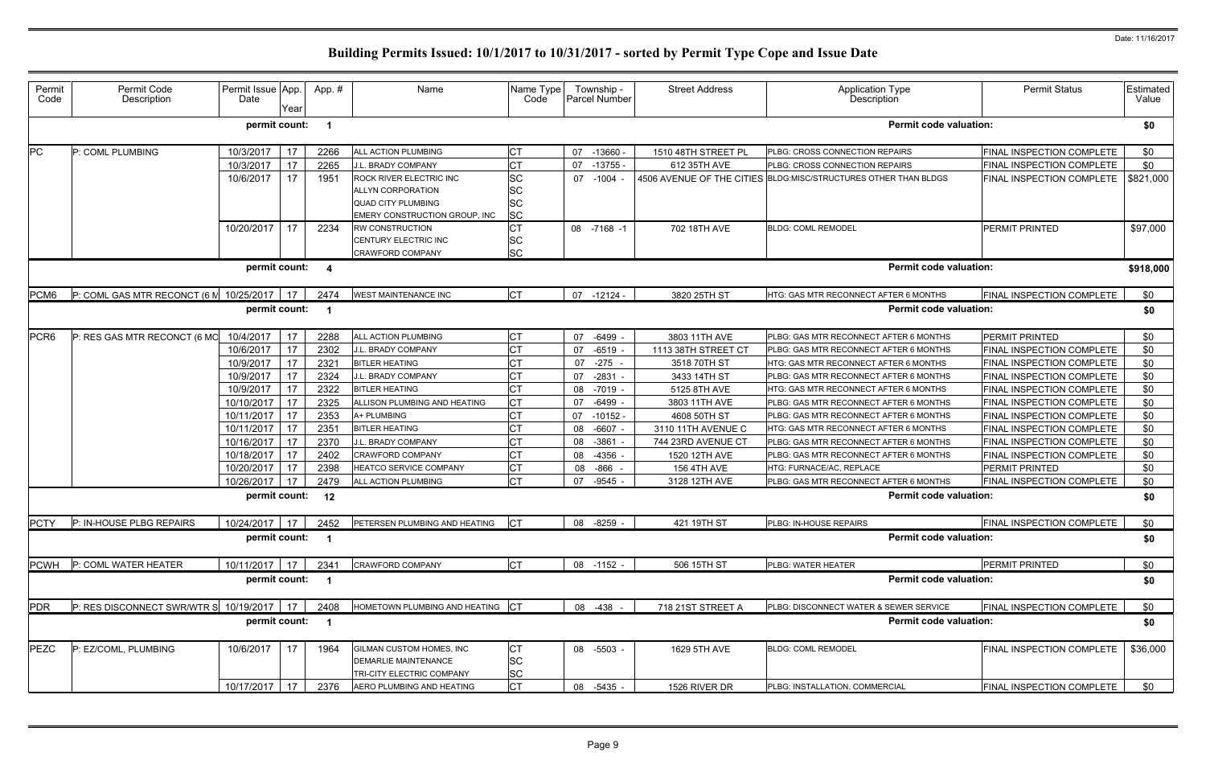| Permit<br>Code   | Permit Code<br>Description                    | Permit Issue App.<br>Date | Year | App.#                   | Name                                                                          | Name Type<br>Code     |    | Township -<br>Parcel Number | <b>Street Address</b> | <b>Application Type</b><br>Description                           | <b>Permit Status</b>             | Estimated<br>Value |
|------------------|-----------------------------------------------|---------------------------|------|-------------------------|-------------------------------------------------------------------------------|-----------------------|----|-----------------------------|-----------------------|------------------------------------------------------------------|----------------------------------|--------------------|
|                  |                                               | permit count:             |      | - 1                     |                                                                               |                       |    |                             |                       | <b>Permit code valuation:</b>                                    |                                  | \$0                |
| <b>PC</b>        | P: COML PLUMBING                              | 10/3/2017                 | 17   | 2266                    | ALL ACTION PLUMBING                                                           | <b>CT</b>             |    | 07 -13660                   | 1510 48TH STREET PL   | PLBG: CROSS CONNECTION REPAIRS                                   | FINAL INSPECTION COMPLETE        | \$0                |
|                  |                                               | 10/3/2017                 | 17   | 2265                    | J.L. BRADY COMPANY                                                            | <b>CT</b>             | 07 | $-13755 -$                  | 612 35TH AVE          | PLBG: CROSS CONNECTION REPAIRS                                   | FINAL INSPECTION COMPLETE        | \$0                |
|                  |                                               | 10/6/2017                 | 17   | 1951                    | ROCK RIVER ELECTRIC INC                                                       | SC                    | 07 | -1004 -                     |                       | 4506 AVENUE OF THE CITIES BLDG: MISC/STRUCTURES OTHER THAN BLDGS | FINAL INSPECTION COMPLETE        | \$821,000          |
|                  |                                               |                           |      |                         | ALLYN CORPORATION                                                             | <b>SC</b>             |    |                             |                       |                                                                  |                                  |                    |
|                  |                                               |                           |      |                         | <b>QUAD CITY PLUMBING</b>                                                     | <b>SC</b>             |    |                             |                       |                                                                  |                                  |                    |
|                  |                                               |                           |      |                         | EMERY CONSTRUCTION GROUP, INC                                                 | <b>SC</b>             |    |                             |                       |                                                                  |                                  |                    |
|                  |                                               | 10/20/2017                | 17   | 2234                    | <b>RW CONSTRUCTION</b>                                                        | <b>CT</b>             |    | 08 -7168 -1                 | 702 18TH AVE          | <b>BLDG: COML REMODEL</b>                                        | <b>PERMIT PRINTED</b>            | \$97,000           |
|                  |                                               |                           |      |                         | CENTURY ELECTRIC INC                                                          | <b>SC</b>             |    |                             |                       |                                                                  |                                  |                    |
|                  |                                               |                           |      |                         | <b>CRAWFORD COMPANY</b>                                                       | <b>SC</b>             |    |                             |                       |                                                                  |                                  |                    |
|                  |                                               | permit count:             |      | -4                      |                                                                               |                       |    |                             |                       | <b>Permit code valuation:</b>                                    |                                  | \$918,000          |
| PCM6             | P: COML GAS MTR RECONCT (6 M 10/25/2017       |                           | 17   | 2474                    | <b>WEST MAINTENANCE INC</b>                                                   | <b>CT</b>             |    | 07 -12124 -                 | 3820 25TH ST          | HTG: GAS MTR RECONNECT AFTER 6 MONTHS                            | FINAL INSPECTION COMPLETE        | \$0                |
|                  |                                               | permit count:             |      | - 1                     |                                                                               |                       |    |                             |                       | <b>Permit code valuation:</b>                                    |                                  | \$0                |
| PCR <sub>6</sub> | P: RES GAS MTR RECONCT (6 MO                  | 10/4/2017                 | 17   | 2288                    | ALL ACTION PLUMBING                                                           | <b>CT</b>             | 07 | -6499                       | 3803 11TH AVE         | PLBG: GAS MTR RECONNECT AFTER 6 MONTHS                           | <b>PERMIT PRINTED</b>            | \$0                |
|                  |                                               | 10/6/2017                 | 17   | 2302                    | J.L. BRADY COMPANY                                                            | <b>CT</b>             | 07 | $-6519$                     | 1113 38TH STREET CT   | PLBG: GAS MTR RECONNECT AFTER 6 MONTHS                           | FINAL INSPECTION COMPLETE        | \$0                |
|                  |                                               | 10/9/2017                 | 17   | 2321                    | <b>BITLER HEATING</b>                                                         | <b>CT</b>             | 07 | $-275$                      | 3518 70TH ST          | HTG: GAS MTR RECONNECT AFTER 6 MONTHS                            | FINAL INSPECTION COMPLETE        | \$0                |
|                  |                                               | 10/9/2017                 | 17   | 2324                    | J.L. BRADY COMPANY                                                            | <b>CT</b>             | 07 | $-2831$                     | 3433 14TH ST          | PLBG: GAS MTR RECONNECT AFTER 6 MONTHS                           | FINAL INSPECTION COMPLETE        | \$0                |
|                  |                                               | 10/9/2017                 | 17   | 2322                    | <b>BITLER HEATING</b>                                                         | <b>CT</b>             | 08 | $-7019$ -                   | 5125 8TH AVE          | HTG: GAS MTR RECONNECT AFTER 6 MONTHS                            | FINAL INSPECTION COMPLETE        | \$0                |
|                  |                                               | 10/10/2017                | 17   | 2325                    | ALLISON PLUMBING AND HEATING                                                  | <b>CT</b>             | 07 | $-6499$                     | 3803 11TH AVE         | PLBG: GAS MTR RECONNECT AFTER 6 MONTHS                           | FINAL INSPECTION COMPLETE        | \$0                |
|                  |                                               | 10/11/2017                | 17   | 2353                    | A+ PLUMBING                                                                   | <b>CT</b>             | 07 | $-10152$                    | 4608 50TH ST          | PLBG: GAS MTR RECONNECT AFTER 6 MONTHS                           | FINAL INSPECTION COMPLETE        | \$0                |
|                  |                                               | 10/11/2017                | 17   | 2351                    | <b>BITLER HEATING</b>                                                         | <b>CT</b>             | 08 | $-6607$ -                   | 3110 11TH AVENUE C    | HTG: GAS MTR RECONNECT AFTER 6 MONTHS                            | <b>FINAL INSPECTION COMPLETE</b> | \$0                |
|                  |                                               | 10/16/2017                | 17   | 2370                    | J.L. BRADY COMPANY                                                            | IСТ                   | 08 | $-3861$                     | 744 23RD AVENUE CT    | PLBG: GAS MTR RECONNECT AFTER 6 MONTHS                           | FINAL INSPECTION COMPLETE        | \$0                |
|                  |                                               | 10/18/2017                | 17   | 2402                    | CRAWFORD COMPANY                                                              | <b>CT</b>             | 08 | -4356                       | 1520 12TH AVE         | PLBG: GAS MTR RECONNECT AFTER 6 MONTHS                           | FINAL INSPECTION COMPLETE        | \$0                |
|                  |                                               | 10/20/2017                | 17   | 2398                    | <b>HEATCO SERVICE COMPANY</b>                                                 | <b>CT</b>             | 08 | -866                        | <b>156 4TH AVE</b>    | HTG: FURNACE/AC, REPLACE                                         | <b>PERMIT PRINTED</b>            | \$0                |
|                  |                                               | 10/26/2017                | 17   | 2479                    | ALL ACTION PLUMBING                                                           | lст                   | 07 | $-9545$                     | 3128 12TH AVE         | PLBG: GAS MTR RECONNECT AFTER 6 MONTHS                           | FINAL INSPECTION COMPLETE        | \$0                |
|                  |                                               | permit count:             |      | 12                      |                                                                               |                       |    |                             |                       | <b>Permit code valuation:</b>                                    |                                  | \$0                |
|                  | PCTY P: IN-HOUSE PLBG REPAIRS                 | $10/24/2017$ 17 2452      |      |                         | PETERSEN PLUMBING AND HEATING CT                                              |                       |    | 08 -8259 -                  | 421 19TH ST           | PLBG: IN-HOUSE REPAIRS                                           | FINAL INSPECTION COMPLETE        | \$0                |
|                  |                                               | permit count: 1           |      |                         |                                                                               |                       |    |                             |                       | <b>Permit code valuation:</b>                                    |                                  | \$0                |
| <b>PCWH</b>      | P: COML WATER HEATER                          | 10/11/2017 17             |      | 2341                    | <b>CRAWFORD COMPANY</b>                                                       | <b>CT</b>             |    | 08 -1152 -                  | 506 15TH ST           | PLBG: WATER HEATER                                               | PERMIT PRINTED                   | \$0                |
|                  |                                               | permit count:             |      | $\overline{\mathbf{1}}$ |                                                                               |                       |    |                             |                       | <b>Permit code valuation:</b>                                    |                                  | \$0                |
| <b>PDR</b>       | $P:$ RES DISCONNECT SWR/WTR S 10/19/2017   17 |                           |      | 2408                    | HOMETOWN PLUMBING AND HEATING CT                                              |                       |    | 08 -438 -                   | 718 21ST STREET A     | PLBG: DISCONNECT WATER & SEWER SERVICE                           | FINAL INSPECTION COMPLETE        | \$0                |
|                  |                                               | permit count:             |      | $\overline{\mathbf{1}}$ |                                                                               |                       |    |                             |                       | <b>Permit code valuation:</b>                                    |                                  | \$0                |
| <b>PEZC</b>      | P: EZ/COML, PLUMBING                          | 10/6/2017                 | 17   | 1964                    | GILMAN CUSTOM HOMES, INC<br>DEMARLIE MAINTENANCE<br>TRI-CITY ELECTRIC COMPANY | СT<br>SC<br><b>SC</b> |    | 08 -5503 -                  | 1629 5TH AVE          | <b>BLDG: COML REMODEL</b>                                        | FINAL INSPECTION COMPLETE        | \$36,000           |
|                  |                                               | 10/17/2017 17             |      | 2376                    | AERO PLUMBING AND HEATING                                                     | <b>CT</b>             |    | 08 -5435 -                  | 1526 RIVER DR         | PLBG: INSTALLATION, COMMERCIAL                                   | FINAL INSPECTION COMPLETE        | \$0                |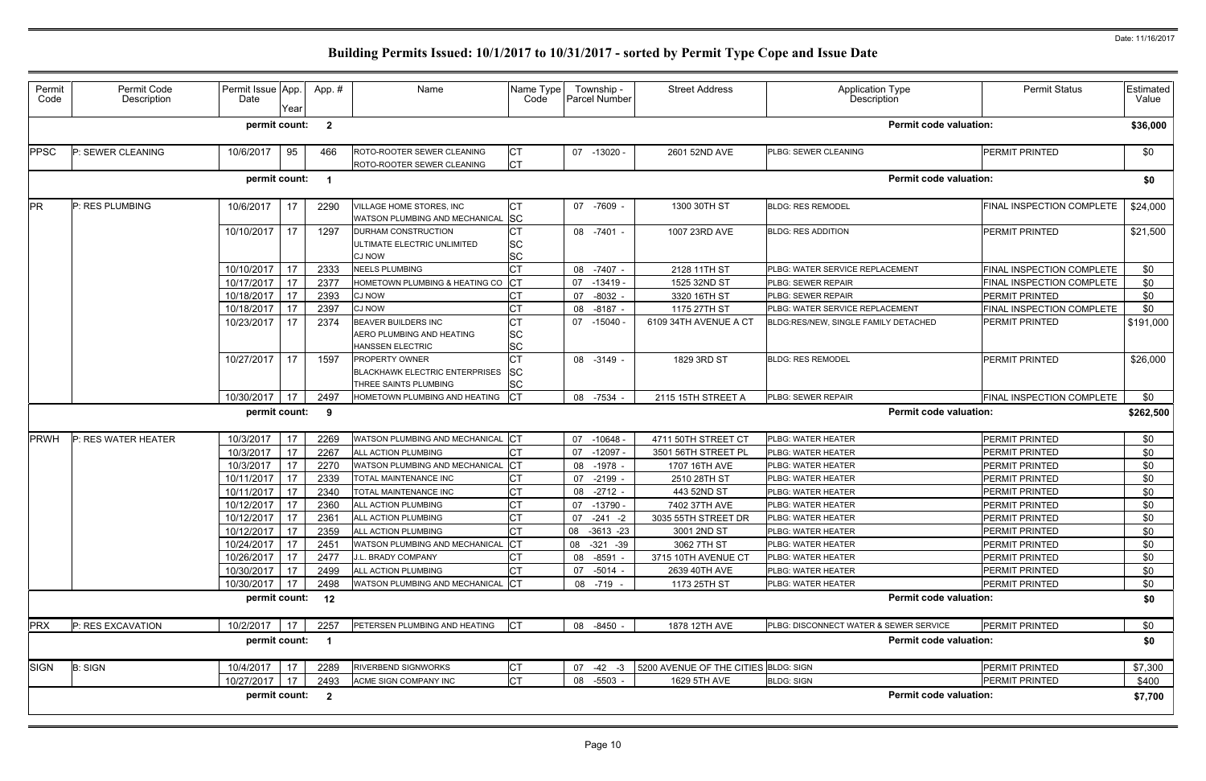| Permit<br>Code | Permit Code<br>Description | Permit Issue App.<br>Date<br>Year | App.#                   | Name                                                                              | Name Type<br>Code                   | Township -<br>Parcel Number | <b>Street Address</b>                | <b>Application Type</b><br>Description | <b>Permit Status</b>      | Estimated<br>Value |
|----------------|----------------------------|-----------------------------------|-------------------------|-----------------------------------------------------------------------------------|-------------------------------------|-----------------------------|--------------------------------------|----------------------------------------|---------------------------|--------------------|
|                |                            | permit count:                     | $\overline{\mathbf{2}}$ |                                                                                   |                                     |                             |                                      | <b>Permit code valuation:</b>          |                           | \$36,000           |
| PPSC           | P: SEWER CLEANING          | 10/6/2017<br>95                   | 466                     | ROTO-ROOTER SEWER CLEANING<br>ROTO-ROOTER SEWER CLEANING                          | <b>CT</b><br><b>CT</b>              | $07 - 13020$                | 2601 52ND AVE                        | PLBG: SEWER CLEANING                   | <b>PERMIT PRINTED</b>     | \$0                |
|                |                            | permit count:                     | - 1                     |                                                                                   |                                     |                             |                                      | <b>Permit code valuation:</b>          |                           | \$0                |
| <b>PR</b>      | P: RES PLUMBING            | 10/6/2017<br>17                   | 2290                    | /ILLAGE HOME STORES, INC<br>WATSON PLUMBING AND MECHANICAL SC                     | СT                                  | 07 -7609 -                  | 1300 30TH ST                         | <b>BLDG: RES REMODEL</b>               | FINAL INSPECTION COMPLETE | \$24,000           |
|                |                            | 10/10/2017<br>17                  | 1297                    | <b>DURHAM CONSTRUCTION</b><br><b>JLTIMATE ELECTRIC UNLIMITED</b><br><b>CJ NOW</b> | <b>CT</b><br><b>SC</b><br><b>SC</b> | 08 -7401 -                  | 1007 23RD AVE                        | <b>BLDG: RES ADDITION</b>              | PERMIT PRINTED            | \$21,500           |
|                |                            | 17<br>10/10/2017                  | 2333                    | <b>NEELS PLUMBING</b>                                                             | <b>CT</b>                           | 08 -7407 -                  | 2128 11TH ST                         | PLBG: WATER SERVICE REPLACEMENT        | FINAL INSPECTION COMPLETE | \$0                |
|                |                            | 10/17/2017<br>17                  | 2377                    | HOMETOWN PLUMBING & HEATING CO                                                    | <b>CT</b>                           | 07<br>$-13419$              | 1525 32ND ST                         | PLBG: SEWER REPAIR                     | FINAL INSPECTION COMPLETE | \$0                |
|                |                            | 10/18/2017<br>17                  | 2393                    | <b>CJ NOW</b>                                                                     | СT                                  | 07<br>-8032 -               | 3320 16TH ST                         | PLBG: SEWER REPAIR                     | PERMIT PRINTED            | \$0                |
|                |                            | 10/18/2017<br>17                  | 2397                    | <b>CJ NOW</b>                                                                     | <b>CT</b>                           | 08<br>$-8187 -$             | 1175 27TH ST                         | PLBG: WATER SERVICE REPLACEMENT        | FINAL INSPECTION COMPLETE | \$0                |
|                |                            | 17<br>10/23/2017                  | 2374                    | BEAVER BUILDERS INC<br>AERO PLUMBING AND HEATING<br>HANSSEN ELECTRIC              | СT<br><b>SC</b><br><b>SC</b>        | 07 -15040                   | 6109 34TH AVENUE A CT                | BLDG:RES/NEW, SINGLE FAMILY DETACHED   | PERMIT PRINTED            | \$191,000          |
|                |                            | 10/27/2017<br>17                  | 1597                    | PROPERTY OWNER<br><b>BLACKHAWK ELECTRIC ENTERPRISES</b><br>THREE SAINTS PLUMBING  | СT<br><b>SC</b><br><b>SC</b>        | 08 -3149 -                  | 1829 3RD ST                          | <b>BLDG: RES REMODEL</b>               | <b>PERMIT PRINTED</b>     | \$26,000           |
|                |                            | 10/30/2017<br>17                  | 2497                    | HOMETOWN PLUMBING AND HEATING                                                     | Iст                                 | 08 -7534 -                  | 2115 15TH STREET A                   | PLBG: SEWER REPAIR                     | FINAL INSPECTION COMPLETE | \$0                |
|                |                            | permit count:                     | - 9                     |                                                                                   |                                     |                             |                                      | <b>Permit code valuation:</b>          |                           | \$262,500          |
| <b>PRWH</b>    | P: RES WATER HEATER        | 10/3/2017<br>17                   | 2269                    | WATSON PLUMBING AND MECHANICAL                                                    | . ICT                               | $-10648 -$<br>07            | 4711 50TH STREET CT                  | PLBG: WATER HEATER                     | PERMIT PRINTED            | \$0                |
|                |                            | 17<br>10/3/2017                   | 2267                    | ALL ACTION PLUMBING                                                               | <b>CT</b>                           | $-12097 -$<br>07            | 3501 56TH STREET PL                  | PLBG: WATER HEATER                     | PERMIT PRINTED            | \$0                |
|                |                            | 10/3/2017<br>17                   | 2270                    | WATSON PLUMBING AND MECHANICAL                                                    | <b>CT</b>                           | 08 -1978 -                  | 1707 16TH AVE                        | PLBG: WATER HEATER                     | <b>PERMIT PRINTED</b>     | \$0                |
|                |                            | 17<br>10/11/2017                  | 2339                    | TOTAL MAINTENANCE INC                                                             | <b>CT</b>                           | 07<br>$-2199$               | 2510 28TH ST                         | PLBG: WATER HEATER                     | PERMIT PRINTED            | \$0                |
|                |                            | 17<br>10/11/2017                  | 2340                    | TOTAL MAINTENANCE INC                                                             | <b>CT</b>                           | 08 -2712 -                  | 443 52ND ST                          | PLBG: WATER HEATER                     | <b>PERMIT PRINTED</b>     | \$0                |
|                |                            | 17<br>10/12/2017                  | 2360                    | ALL ACTION PLUMBING                                                               | СT                                  | -13790 -<br>07              | 7402 37TH AVE                        | PLBG: WATER HEATER                     | PERMIT PRINTED            | \$0                |
|                |                            | 10/12/2017 17                     | 2361                    | ALL ACTION PLUMBING                                                               | Iст                                 | $07 -241 -2$                | 3035 55TH STREET DR                  | <b>PLBG: WATER HEATER</b>              | <b>PERMIT PRINTED</b>     | \$0                |
|                |                            | 10/12/2017<br>17                  | 2359                    | ALL ACTION PLUMBING                                                               | <b>CT</b>                           | 08 -3613 -23                | 3001 2ND ST                          | PLBG: WATER HEATER                     | PERMIT PRINTED            | \$0                |
|                |                            | 10/24/2017<br>17                  | 2451                    | WATSON PLUMBING AND MECHANICAL                                                    | <b>CT</b>                           | 08 -321 -39                 | 3062 7TH ST                          | PLBG: WATER HEATER                     | PERMIT PRINTED            | \$0                |
|                |                            | 10/26/2017<br>17                  | 2477                    | J.L. BRADY COMPANY                                                                | <b>CT</b>                           | 08 -8591 -                  | 3715 10TH AVENUE CT                  | PLBG: WATER HEATER                     | PERMIT PRINTED            | \$0                |
|                |                            | 17<br>10/30/2017                  | 2499                    | ALL ACTION PLUMBING                                                               | СT                                  | $-5014 -$<br>07             | 2639 40TH AVE                        | PLBG: WATER HEATER                     | PERMIT PRINTED            | \$0                |
|                |                            | 10/30/2017<br>17                  | 2498                    | WATSON PLUMBING AND MECHANICAL CT                                                 |                                     | 08 -719 -                   | 1173 25TH ST                         | PLBG: WATER HEATER                     | PERMIT PRINTED            | \$0                |
|                |                            | permit count: 12                  |                         |                                                                                   |                                     |                             |                                      | <b>Permit code valuation:</b>          |                           | \$0                |
| <b>PRX</b>     | P: RES EXCAVATION          | 10/2/2017 17                      | 2257                    | PETERSEN PLUMBING AND HEATING                                                     | $ _{\mathsf{CT}}$                   | 08 -8450 -                  | 1878 12TH AVE                        | PLBG: DISCONNECT WATER & SEWER SERVICE | <b>PERMIT PRINTED</b>     | \$0                |
|                |                            | permit count:                     | $\blacksquare$          |                                                                                   |                                     |                             |                                      | <b>Permit code valuation:</b>          |                           | \$0                |
| <b>SIGN</b>    | <b>B: SIGN</b>             | 10/4/2017 17                      | 2289                    | <b>RIVERBEND SIGNWORKS</b>                                                        | <b>CT</b>                           | $07 -42 -3$                 | 5200 AVENUE OF THE CITIES BLDG: SIGN |                                        | PERMIT PRINTED            | \$7,300            |
|                |                            | 10/27/2017 17                     | 2493                    | ACME SIGN COMPANY INC                                                             | <b>CT</b>                           | 08 -5503 -                  | 1629 5TH AVE                         | <b>BLDG: SIGN</b>                      | <b>PERMIT PRINTED</b>     | \$400              |
|                |                            | permit count:                     | $\overline{\mathbf{2}}$ |                                                                                   |                                     |                             |                                      | <b>Permit code valuation:</b>          |                           | \$7,700            |